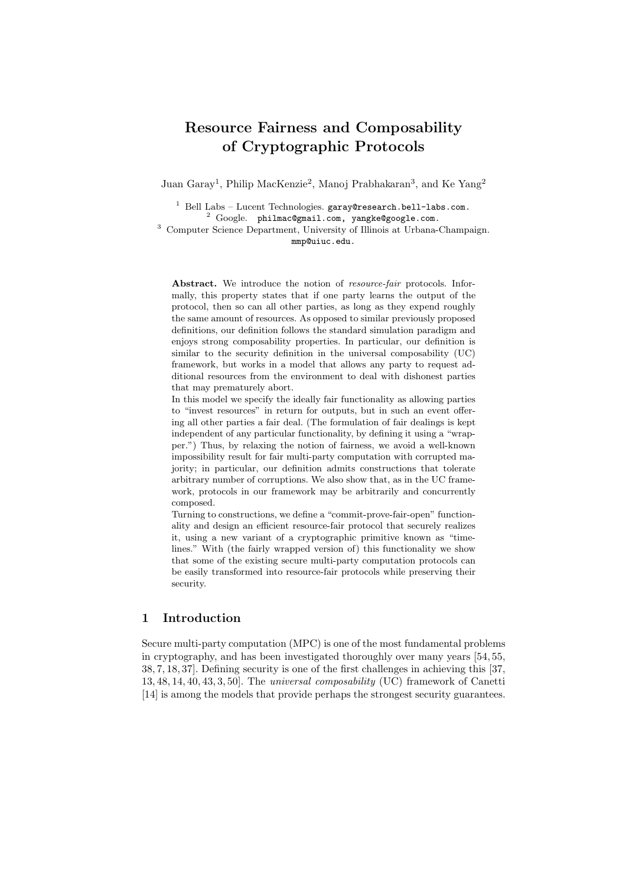Juan Garay<sup>1</sup>, Philip MacKenzie<sup>2</sup>, Manoj Prabhakaran<sup>3</sup>, and Ke Yang<sup>2</sup>

<sup>1</sup> Bell Labs – Lucent Technologies.  $\texttt{garay@research.bell-labs.com}.$  $^2$  Google. philmac@gmail.com, yangke@google.com.

<sup>3</sup> Computer Science Department, University of Illinois at Urbana-Champaign. mmp@uiuc.edu.

Abstract. We introduce the notion of *resource-fair* protocols. Informally, this property states that if one party learns the output of the protocol, then so can all other parties, as long as they expend roughly the same amount of resources. As opposed to similar previously proposed definitions, our definition follows the standard simulation paradigm and enjoys strong composability properties. In particular, our definition is similar to the security definition in the universal composability (UC) framework, but works in a model that allows any party to request additional resources from the environment to deal with dishonest parties that may prematurely abort.

In this model we specify the ideally fair functionality as allowing parties to "invest resources" in return for outputs, but in such an event offering all other parties a fair deal. (The formulation of fair dealings is kept independent of any particular functionality, by defining it using a "wrapper.") Thus, by relaxing the notion of fairness, we avoid a well-known impossibility result for fair multi-party computation with corrupted majority; in particular, our definition admits constructions that tolerate arbitrary number of corruptions. We also show that, as in the UC framework, protocols in our framework may be arbitrarily and concurrently composed.

Turning to constructions, we define a "commit-prove-fair-open" functionality and design an efficient resource-fair protocol that securely realizes it, using a new variant of a cryptographic primitive known as "timelines." With (the fairly wrapped version of) this functionality we show that some of the existing secure multi-party computation protocols can be easily transformed into resource-fair protocols while preserving their security.

# 1 Introduction

Secure multi-party computation (MPC) is one of the most fundamental problems in cryptography, and has been investigated thoroughly over many years [54, 55, 38, 7, 18, 37]. Defining security is one of the first challenges in achieving this [37, 13, 48, 14, 40, 43, 3, 50]. The universal composability (UC) framework of Canetti [14] is among the models that provide perhaps the strongest security guarantees.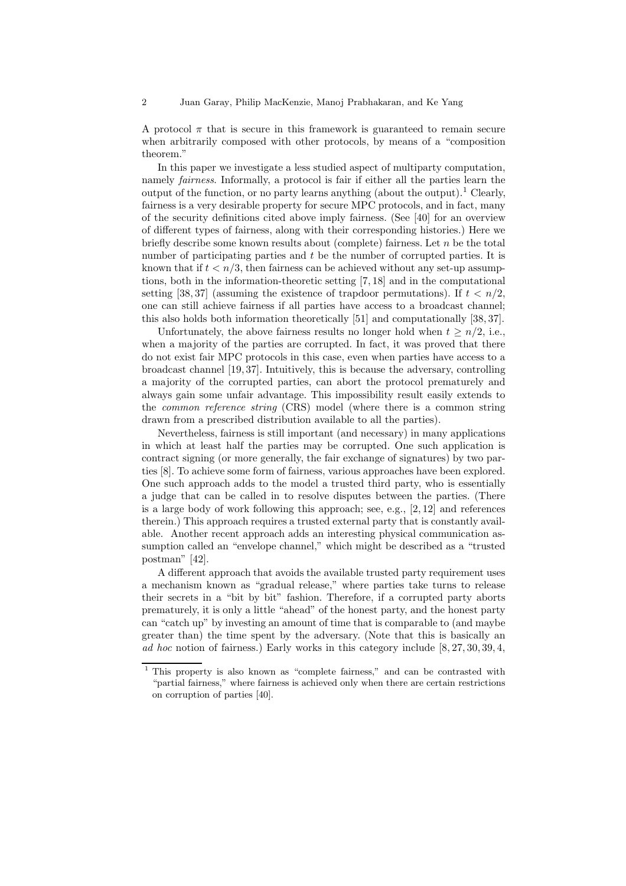A protocol  $\pi$  that is secure in this framework is guaranteed to remain secure when arbitrarily composed with other protocols, by means of a "composition theorem."

In this paper we investigate a less studied aspect of multiparty computation, namely fairness. Informally, a protocol is fair if either all the parties learn the output of the function, or no party learns anything (about the output).<sup>1</sup> Clearly, fairness is a very desirable property for secure MPC protocols, and in fact, many of the security definitions cited above imply fairness. (See [40] for an overview of different types of fairness, along with their corresponding histories.) Here we briefly describe some known results about (complete) fairness. Let  $n$  be the total number of participating parties and t be the number of corrupted parties. It is known that if  $t < n/3$ , then fairness can be achieved without any set-up assumptions, both in the information-theoretic setting [7, 18] and in the computational setting [38, 37] (assuming the existence of trapdoor permutations). If  $t < n/2$ , one can still achieve fairness if all parties have access to a broadcast channel; this also holds both information theoretically [51] and computationally [38, 37].

Unfortunately, the above fairness results no longer hold when  $t \geq n/2$ , i.e., when a majority of the parties are corrupted. In fact, it was proved that there do not exist fair MPC protocols in this case, even when parties have access to a broadcast channel [19, 37]. Intuitively, this is because the adversary, controlling a majority of the corrupted parties, can abort the protocol prematurely and always gain some unfair advantage. This impossibility result easily extends to the common reference string (CRS) model (where there is a common string drawn from a prescribed distribution available to all the parties).

Nevertheless, fairness is still important (and necessary) in many applications in which at least half the parties may be corrupted. One such application is contract signing (or more generally, the fair exchange of signatures) by two parties [8]. To achieve some form of fairness, various approaches have been explored. One such approach adds to the model a trusted third party, who is essentially a judge that can be called in to resolve disputes between the parties. (There is a large body of work following this approach; see, e.g., [2, 12] and references therein.) This approach requires a trusted external party that is constantly available. Another recent approach adds an interesting physical communication assumption called an "envelope channel," which might be described as a "trusted postman" [42].

A different approach that avoids the available trusted party requirement uses a mechanism known as "gradual release," where parties take turns to release their secrets in a "bit by bit" fashion. Therefore, if a corrupted party aborts prematurely, it is only a little "ahead" of the honest party, and the honest party can "catch up" by investing an amount of time that is comparable to (and maybe greater than) the time spent by the adversary. (Note that this is basically an ad hoc notion of fairness.) Early works in this category include [8, 27, 30, 39, 4,

<sup>&</sup>lt;sup>1</sup> This property is also known as "complete fairness," and can be contrasted with "partial fairness," where fairness is achieved only when there are certain restrictions on corruption of parties [40].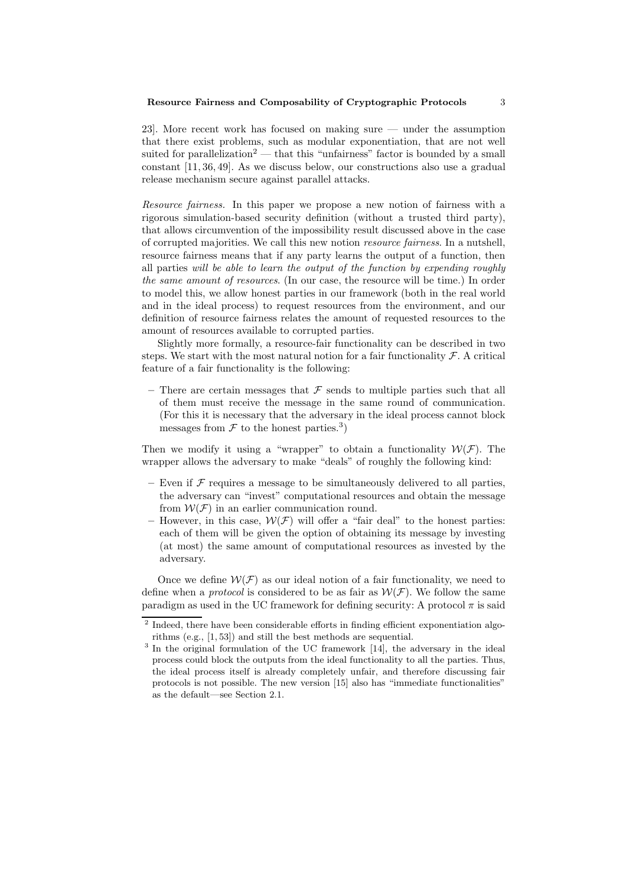23]. More recent work has focused on making sure — under the assumption that there exist problems, such as modular exponentiation, that are not well suited for parallelization<sup>2</sup> — that this "unfairness" factor is bounded by a small constant [11, 36, 49]. As we discuss below, our constructions also use a gradual release mechanism secure against parallel attacks.

Resource fairness. In this paper we propose a new notion of fairness with a rigorous simulation-based security definition (without a trusted third party), that allows circumvention of the impossibility result discussed above in the case of corrupted majorities. We call this new notion resource fairness. In a nutshell, resource fairness means that if any party learns the output of a function, then all parties will be able to learn the output of the function by expending roughly the same amount of resources. (In our case, the resource will be time.) In order to model this, we allow honest parties in our framework (both in the real world and in the ideal process) to request resources from the environment, and our definition of resource fairness relates the amount of requested resources to the amount of resources available to corrupted parties.

Slightly more formally, a resource-fair functionality can be described in two steps. We start with the most natural notion for a fair functionality  $\mathcal{F}$ . A critical feature of a fair functionality is the following:

– There are certain messages that  $\mathcal F$  sends to multiple parties such that all of them must receive the message in the same round of communication. (For this it is necessary that the adversary in the ideal process cannot block messages from  $\mathcal F$  to the honest parties.<sup>3</sup>)

Then we modify it using a "wrapper" to obtain a functionality  $W(F)$ . The wrapper allows the adversary to make "deals" of roughly the following kind:

- Even if  $\mathcal F$  requires a message to be simultaneously delivered to all parties, the adversary can "invest" computational resources and obtain the message from  $W(F)$  in an earlier communication round.
- However, in this case,  $W(F)$  will offer a "fair deal" to the honest parties: each of them will be given the option of obtaining its message by investing (at most) the same amount of computational resources as invested by the adversary.

Once we define  $W(F)$  as our ideal notion of a fair functionality, we need to define when a *protocol* is considered to be as fair as  $W(F)$ . We follow the same paradigm as used in the UC framework for defining security: A protocol  $\pi$  is said

<sup>&</sup>lt;sup>2</sup> Indeed, there have been considerable efforts in finding efficient exponentiation algorithms (e.g., [1, 53]) and still the best methods are sequential.

<sup>&</sup>lt;sup>3</sup> In the original formulation of the UC framework [14], the adversary in the ideal process could block the outputs from the ideal functionality to all the parties. Thus, the ideal process itself is already completely unfair, and therefore discussing fair protocols is not possible. The new version [15] also has "immediate functionalities" as the default—see Section 2.1.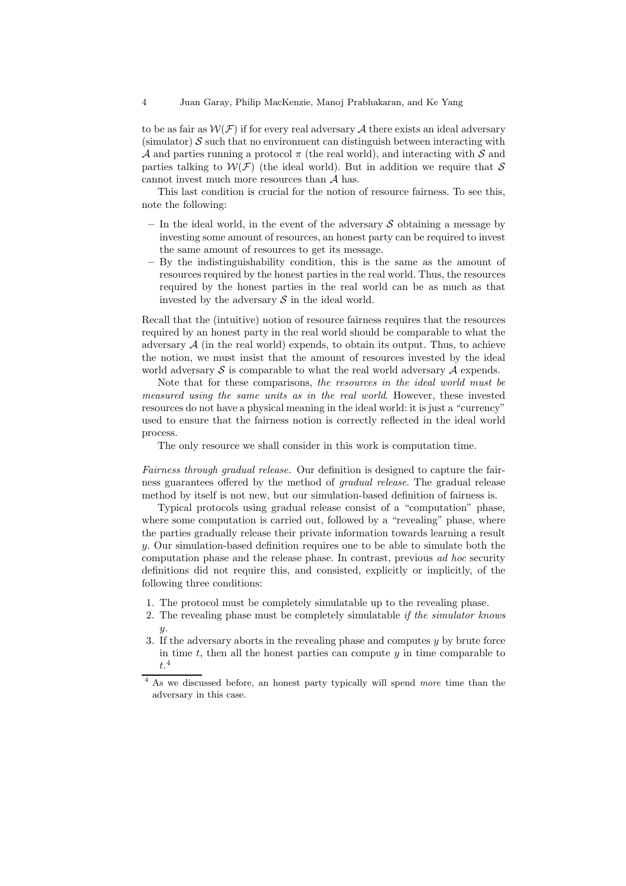to be as fair as  $W(F)$  if for every real adversary A there exists an ideal adversary (simulator)  $\mathcal S$  such that no environment can distinguish between interacting with A and parties running a protocol  $\pi$  (the real world), and interacting with S and parties talking to  $W(F)$  (the ideal world). But in addition we require that S cannot invest much more resources than A has.

This last condition is crucial for the notion of resource fairness. To see this, note the following:

- In the ideal world, in the event of the adversary  $\mathcal S$  obtaining a message by investing some amount of resources, an honest party can be required to invest the same amount of resources to get its message.
- By the indistinguishability condition, this is the same as the amount of resources required by the honest parties in the real world. Thus, the resources required by the honest parties in the real world can be as much as that invested by the adversary  $S$  in the ideal world.

Recall that the (intuitive) notion of resource fairness requires that the resources required by an honest party in the real world should be comparable to what the adversary  $A$  (in the real world) expends, to obtain its output. Thus, to achieve the notion, we must insist that the amount of resources invested by the ideal world adversary  $\mathcal S$  is comparable to what the real world adversary  $\mathcal A$  expends.

Note that for these comparisons, the resources in the ideal world must be measured using the same units as in the real world. However, these invested resources do not have a physical meaning in the ideal world: it is just a "currency" used to ensure that the fairness notion is correctly reflected in the ideal world process.

The only resource we shall consider in this work is computation time.

Fairness through gradual release. Our definition is designed to capture the fairness guarantees offered by the method of gradual release. The gradual release method by itself is not new, but our simulation-based definition of fairness is.

Typical protocols using gradual release consist of a "computation" phase, where some computation is carried out, followed by a "revealing" phase, where the parties gradually release their private information towards learning a result y. Our simulation-based definition requires one to be able to simulate both the computation phase and the release phase. In contrast, previous ad hoc security definitions did not require this, and consisted, explicitly or implicitly, of the following three conditions:

- 1. The protocol must be completely simulatable up to the revealing phase.
- 2. The revealing phase must be completely simulatable if the simulator knows  $\hat{y}$ .
- 3. If the adversary aborts in the revealing phase and computes  $\eta$  by brute force in time t, then all the honest parties can compute  $y$  in time comparable to t. 4

<sup>&</sup>lt;sup>4</sup> As we discussed before, an honest party typically will spend more time than the adversary in this case.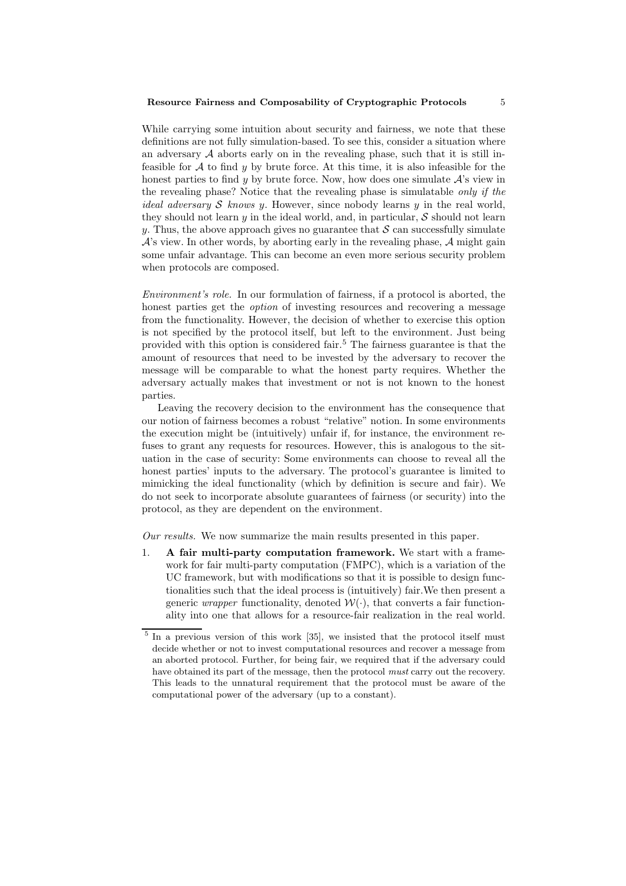While carrying some intuition about security and fairness, we note that these definitions are not fully simulation-based. To see this, consider a situation where an adversary  $A$  aborts early on in the revealing phase, such that it is still infeasible for  $A$  to find  $y$  by brute force. At this time, it is also infeasible for the honest parties to find y by brute force. Now, how does one simulate  $\mathcal{A}$ 's view in the revealing phase? Notice that the revealing phase is simulatable only if the ideal adversary  $S$  knows y. However, since nobody learns y in the real world, they should not learn  $y$  in the ideal world, and, in particular,  $S$  should not learn y. Thus, the above approach gives no guarantee that  $\mathcal S$  can successfully simulate  $\mathcal{A}$ 's view. In other words, by aborting early in the revealing phase,  $\mathcal{A}$  might gain some unfair advantage. This can become an even more serious security problem when protocols are composed.

Environment's role. In our formulation of fairness, if a protocol is aborted, the honest parties get the *option* of investing resources and recovering a message from the functionality. However, the decision of whether to exercise this option is not specified by the protocol itself, but left to the environment. Just being provided with this option is considered fair.<sup>5</sup> The fairness guarantee is that the amount of resources that need to be invested by the adversary to recover the message will be comparable to what the honest party requires. Whether the adversary actually makes that investment or not is not known to the honest parties.

Leaving the recovery decision to the environment has the consequence that our notion of fairness becomes a robust "relative" notion. In some environments the execution might be (intuitively) unfair if, for instance, the environment refuses to grant any requests for resources. However, this is analogous to the situation in the case of security: Some environments can choose to reveal all the honest parties' inputs to the adversary. The protocol's guarantee is limited to mimicking the ideal functionality (which by definition is secure and fair). We do not seek to incorporate absolute guarantees of fairness (or security) into the protocol, as they are dependent on the environment.

Our results. We now summarize the main results presented in this paper.

1. A fair multi-party computation framework. We start with a framework for fair multi-party computation (FMPC), which is a variation of the UC framework, but with modifications so that it is possible to design functionalities such that the ideal process is (intuitively) fair.We then present a generic *wrapper* functionality, denoted  $W(\cdot)$ , that converts a fair functionality into one that allows for a resource-fair realization in the real world.

<sup>&</sup>lt;sup>5</sup> In a previous version of this work [35], we insisted that the protocol itself must decide whether or not to invest computational resources and recover a message from an aborted protocol. Further, for being fair, we required that if the adversary could have obtained its part of the message, then the protocol must carry out the recovery. This leads to the unnatural requirement that the protocol must be aware of the computational power of the adversary (up to a constant).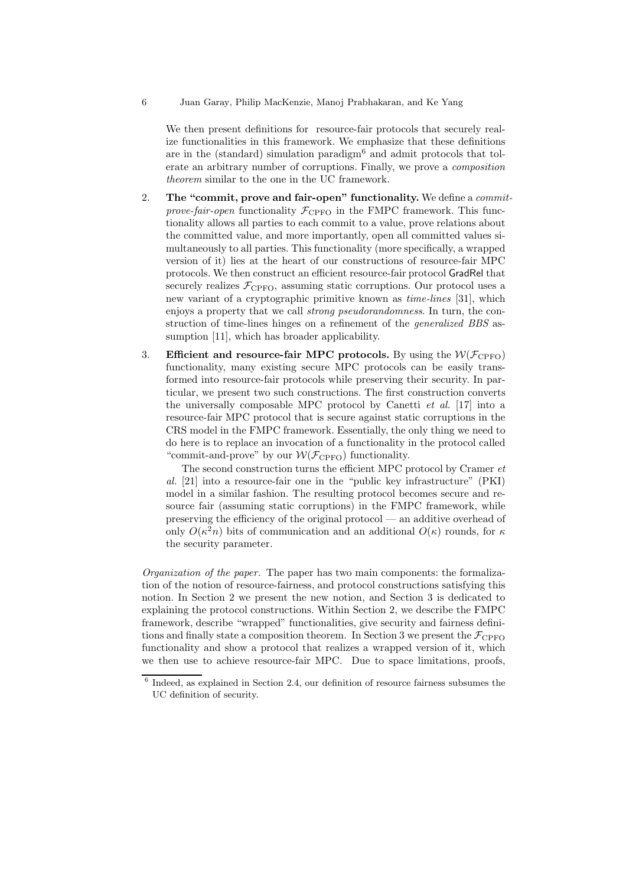#### 6 Juan Garay, Philip MacKenzie, Manoj Prabhakaran, and Ke Yang

We then present definitions for resource-fair protocols that securely realize functionalities in this framework. We emphasize that these definitions are in the (standard) simulation paradigm $<sup>6</sup>$  and admit protocols that tol-</sup> erate an arbitrary number of corruptions. Finally, we prove a composition theorem similar to the one in the UC framework.

- 2. The "commit, prove and fair-open" functionality. We define a commitprove-fair-open functionality  $\mathcal{F}_{\text{CPEO}}$  in the FMPC framework. This functionality allows all parties to each commit to a value, prove relations about the committed value, and more importantly, open all committed values simultaneously to all parties. This functionality (more specifically, a wrapped version of it) lies at the heart of our constructions of resource-fair MPC protocols. We then construct an efficient resource-fair protocol GradRel that securely realizes  $\mathcal{F}_{\text{CPPO}}$ , assuming static corruptions. Our protocol uses a new variant of a cryptographic primitive known as time-lines [31], which enjoys a property that we call strong pseudorandomness. In turn, the construction of time-lines hinges on a refinement of the generalized BBS assumption [11], which has broader applicability.
- 3. Efficient and resource-fair MPC protocols. By using the  $W(\mathcal{F}_{\text{CPFO}})$ functionality, many existing secure MPC protocols can be easily transformed into resource-fair protocols while preserving their security. In particular, we present two such constructions. The first construction converts the universally composable MPC protocol by Canetti et al. [17] into a resource-fair MPC protocol that is secure against static corruptions in the CRS model in the FMPC framework. Essentially, the only thing we need to do here is to replace an invocation of a functionality in the protocol called "commit-and-prove" by our  $W(\mathcal{F}_{\text{CPP}})$  functionality.

The second construction turns the efficient MPC protocol by Cramer et al. [21] into a resource-fair one in the "public key infrastructure" (PKI) model in a similar fashion. The resulting protocol becomes secure and resource fair (assuming static corruptions) in the FMPC framework, while preserving the efficiency of the original protocol — an additive overhead of only  $O(\kappa^2 n)$  bits of communication and an additional  $O(\kappa)$  rounds, for  $\kappa$ the security parameter.

Organization of the paper. The paper has two main components: the formalization of the notion of resource-fairness, and protocol constructions satisfying this notion. In Section 2 we present the new notion, and Section 3 is dedicated to explaining the protocol constructions. Within Section 2, we describe the FMPC framework, describe "wrapped" functionalities, give security and fairness definitions and finally state a composition theorem. In Section 3 we present the  $\mathcal{F}_{\text{CPFO}}$ functionality and show a protocol that realizes a wrapped version of it, which we then use to achieve resource-fair MPC. Due to space limitations, proofs,

<sup>6</sup> Indeed, as explained in Section 2.4, our definition of resource fairness subsumes the UC definition of security.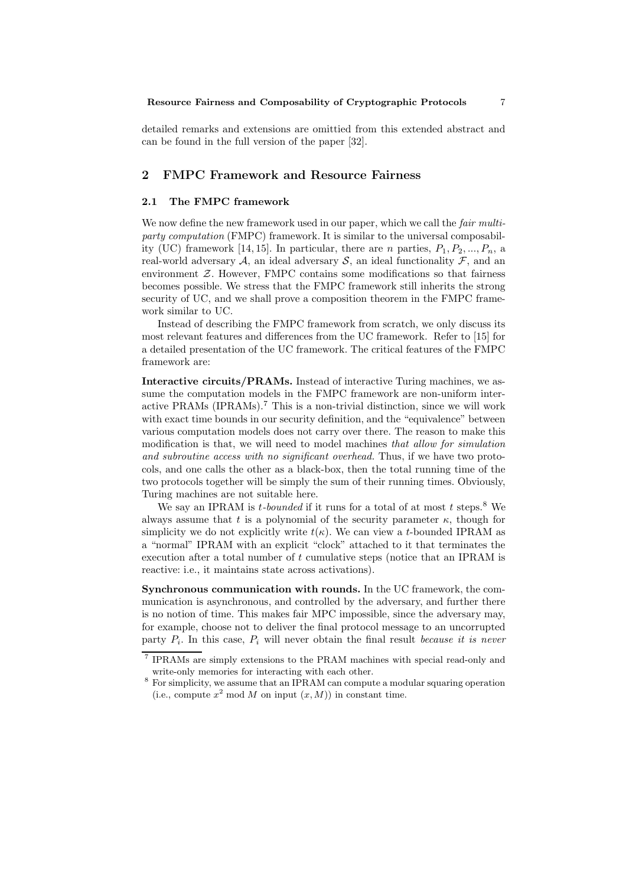detailed remarks and extensions are omittied from this extended abstract and can be found in the full version of the paper [32].

# 2 FMPC Framework and Resource Fairness

# 2.1 The FMPC framework

We now define the new framework used in our paper, which we call the *fair multi*party computation (FMPC) framework. It is similar to the universal composability (UC) framework [14, 15]. In particular, there are n parties,  $P_1, P_2, ..., P_n$ , a real-world adversary  $A$ , an ideal adversary  $S$ , an ideal functionality  $\mathcal{F}$ , and an environment  $Z$ . However, FMPC contains some modifications so that fairness becomes possible. We stress that the FMPC framework still inherits the strong security of UC, and we shall prove a composition theorem in the FMPC framework similar to UC.

Instead of describing the FMPC framework from scratch, we only discuss its most relevant features and differences from the UC framework. Refer to [15] for a detailed presentation of the UC framework. The critical features of the FMPC framework are:

Interactive circuits/PRAMs. Instead of interactive Turing machines, we assume the computation models in the FMPC framework are non-uniform interactive PRAMs (IPRAMs).<sup>7</sup> This is a non-trivial distinction, since we will work with exact time bounds in our security definition, and the "equivalence" between various computation models does not carry over there. The reason to make this modification is that, we will need to model machines that allow for simulation and subroutine access with no significant overhead. Thus, if we have two protocols, and one calls the other as a black-box, then the total running time of the two protocols together will be simply the sum of their running times. Obviously, Turing machines are not suitable here.

We say an IPRAM is *t*-bounded if it runs for a total of at most  $t$  steps.<sup>8</sup> We always assume that t is a polynomial of the security parameter  $\kappa$ , though for simplicity we do not explicitly write  $t(\kappa)$ . We can view a t-bounded IPRAM as a "normal" IPRAM with an explicit "clock" attached to it that terminates the execution after a total number of t cumulative steps (notice that an IPRAM is reactive: i.e., it maintains state across activations).

Synchronous communication with rounds. In the UC framework, the communication is asynchronous, and controlled by the adversary, and further there is no notion of time. This makes fair MPC impossible, since the adversary may, for example, choose not to deliver the final protocol message to an uncorrupted party  $P_i$ . In this case,  $P_i$  will never obtain the final result *because it is never* 

<sup>7</sup> IPRAMs are simply extensions to the PRAM machines with special read-only and write-only memories for interacting with each other.

<sup>8</sup> For simplicity, we assume that an IPRAM can compute a modular squaring operation (i.e., compute  $x^2 \mod M$  on input  $(x, M)$ ) in constant time.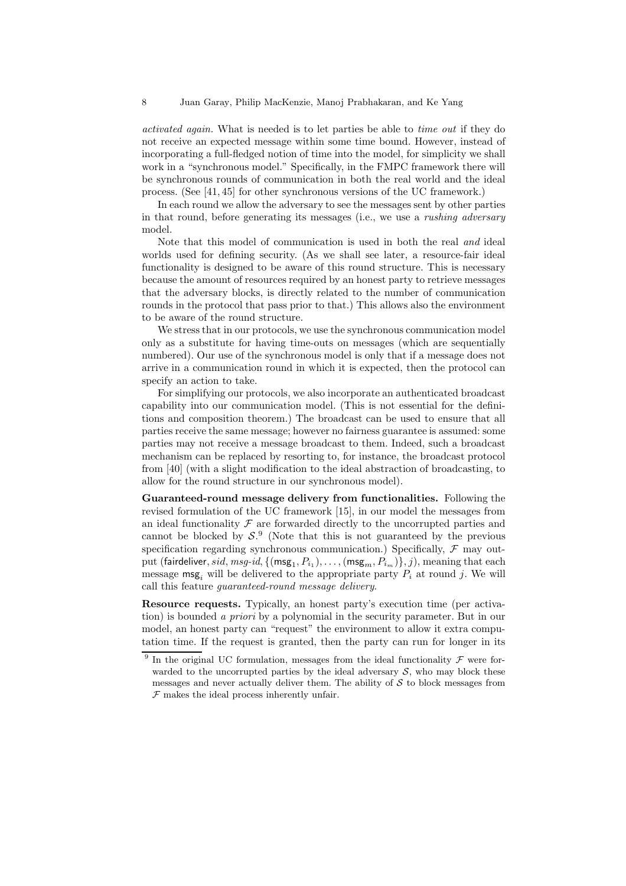activated again. What is needed is to let parties be able to time out if they do not receive an expected message within some time bound. However, instead of incorporating a full-fledged notion of time into the model, for simplicity we shall work in a "synchronous model." Specifically, in the FMPC framework there will be synchronous rounds of communication in both the real world and the ideal process. (See [41, 45] for other synchronous versions of the UC framework.)

In each round we allow the adversary to see the messages sent by other parties in that round, before generating its messages (i.e., we use a *rushing adversary* model.

Note that this model of communication is used in both the real and ideal worlds used for defining security. (As we shall see later, a resource-fair ideal functionality is designed to be aware of this round structure. This is necessary because the amount of resources required by an honest party to retrieve messages that the adversary blocks, is directly related to the number of communication rounds in the protocol that pass prior to that.) This allows also the environment to be aware of the round structure.

We stress that in our protocols, we use the synchronous communication model only as a substitute for having time-outs on messages (which are sequentially numbered). Our use of the synchronous model is only that if a message does not arrive in a communication round in which it is expected, then the protocol can specify an action to take.

For simplifying our protocols, we also incorporate an authenticated broadcast capability into our communication model. (This is not essential for the definitions and composition theorem.) The broadcast can be used to ensure that all parties receive the same message; however no fairness guarantee is assumed: some parties may not receive a message broadcast to them. Indeed, such a broadcast mechanism can be replaced by resorting to, for instance, the broadcast protocol from [40] (with a slight modification to the ideal abstraction of broadcasting, to allow for the round structure in our synchronous model).

Guaranteed-round message delivery from functionalities. Following the revised formulation of the UC framework [15], in our model the messages from an ideal functionality  $\mathcal F$  are forwarded directly to the uncorrupted parties and cannot be blocked by  $S^9$ . (Note that this is not guaranteed by the previous specification regarding synchronous communication.) Specifically,  $\mathcal F$  may out- $\text{put (fair deliver,} \, sid, \, msg-id, \{(\mathsf{msg}_1, P_{i_1}), \ldots, (\mathsf{msg}_m, P_{i_m})\}, j), \text{meaning that each}$ message msg<sub>i</sub> will be delivered to the appropriate party  $P_i$  at round j. We will call this feature guaranteed-round message delivery.

Resource requests. Typically, an honest party's execution time (per activation) is bounded a priori by a polynomial in the security parameter. But in our model, an honest party can "request" the environment to allow it extra computation time. If the request is granted, then the party can run for longer in its

<sup>&</sup>lt;sup>9</sup> In the original UC formulation, messages from the ideal functionality  $\mathcal F$  were forwarded to the uncorrupted parties by the ideal adversary  $S$ , who may block these messages and never actually deliver them. The ability of  $S$  to block messages from  $F$  makes the ideal process inherently unfair.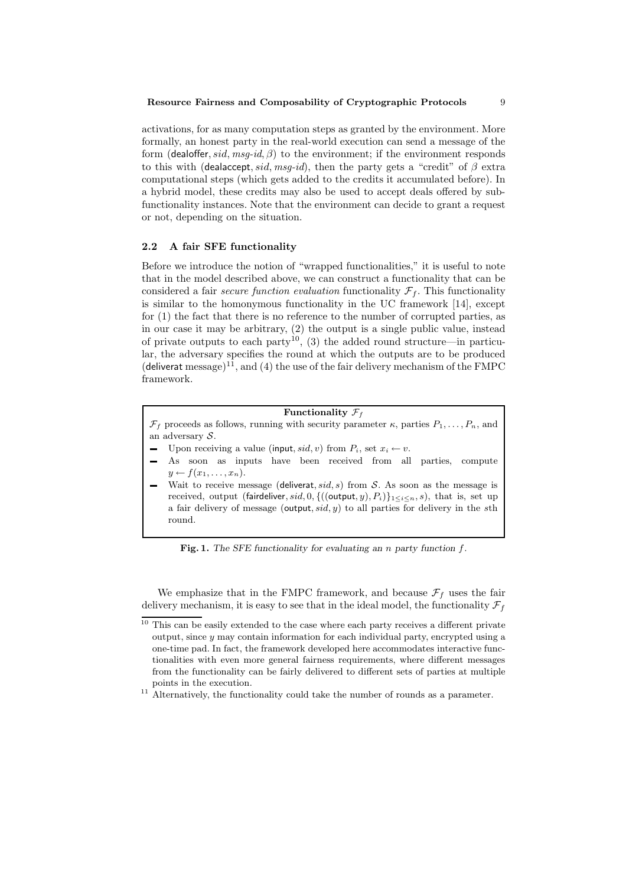activations, for as many computation steps as granted by the environment. More formally, an honest party in the real-world execution can send a message of the form (dealoffer, sid, msg-id,  $\beta$ ) to the environment; if the environment responds to this with (dealaccept, sid, msg-id), then the party gets a "credit" of  $\beta$  extra computational steps (which gets added to the credits it accumulated before). In a hybrid model, these credits may also be used to accept deals offered by subfunctionality instances. Note that the environment can decide to grant a request or not, depending on the situation.

### 2.2 A fair SFE functionality

Before we introduce the notion of "wrapped functionalities," it is useful to note that in the model described above, we can construct a functionality that can be considered a fair *secure function evaluation* functionality  $\mathcal{F}_f$ . This functionality is similar to the homonymous functionality in the UC framework [14], except for (1) the fact that there is no reference to the number of corrupted parties, as in our case it may be arbitrary, (2) the output is a single public value, instead of private outputs to each party 10 , (3) the added round structure—in particular, the adversary specifies the round at which the outputs are to be produced (deliverat message) $^{11}$ , and (4) the use of the fair delivery mechanism of the FMPC framework.

#### Functionality  $\mathcal{F}_f$

 $\mathcal{F}_f$  proceeds as follows, running with security parameter  $\kappa$ , parties  $P_1, \ldots, P_n$ , and an adversary  $S$ .

- Upon receiving a value (input, sid, v) from  $P_i$ , set  $x_i \leftarrow v$ .
- As soon as inputs have been received from all parties, compute  $y \leftarrow f(x_1, \ldots, x_n).$
- Wait to receive message (deliverat,  $sid, s$ ) from  $S$ . As soon as the message is received, output (fairdeliver, sid, 0, {((output, y),  $P_i$ )} $_{1 \leq i \leq n}$ , s), that is, set up a fair delivery of message (output,  $sid, y$ ) to all parties for delivery in the sth round.

Fig. 1. The SFE functionality for evaluating an n party function f.

We emphasize that in the FMPC framework, and because  $\mathcal{F}_f$  uses the fair delivery mechanism, it is easy to see that in the ideal model, the functionality  $\mathcal{F}_f$ 

 $^{10}$  This can be easily extended to the case where each party receives a different private output, since y may contain information for each individual party, encrypted using a one-time pad. In fact, the framework developed here accommodates interactive functionalities with even more general fairness requirements, where different messages from the functionality can be fairly delivered to different sets of parties at multiple points in the execution.

 $11$  Alternatively, the functionality could take the number of rounds as a parameter.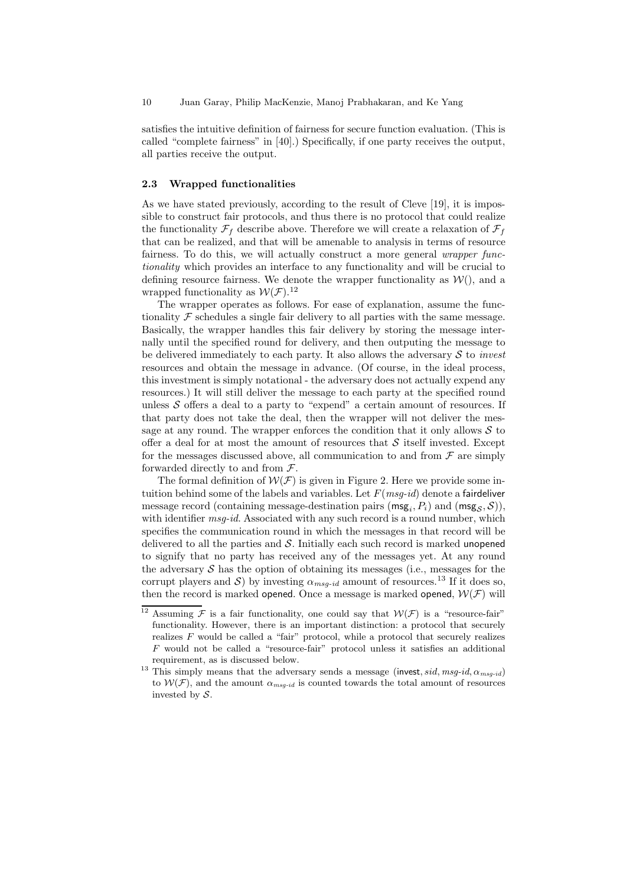satisfies the intuitive definition of fairness for secure function evaluation. (This is called "complete fairness" in [40].) Specifically, if one party receives the output, all parties receive the output.

#### 2.3 Wrapped functionalities

As we have stated previously, according to the result of Cleve [19], it is impossible to construct fair protocols, and thus there is no protocol that could realize the functionality  $\mathcal{F}_f$  describe above. Therefore we will create a relaxation of  $\mathcal{F}_f$ that can be realized, and that will be amenable to analysis in terms of resource fairness. To do this, we will actually construct a more general *wrapper func*tionality which provides an interface to any functionality and will be crucial to defining resource fairness. We denote the wrapper functionality as  $W()$ , and a wrapped functionality as  $W(F).^{12}$ 

The wrapper operates as follows. For ease of explanation, assume the functionality  $\mathcal F$  schedules a single fair delivery to all parties with the same message. Basically, the wrapper handles this fair delivery by storing the message internally until the specified round for delivery, and then outputing the message to be delivered immediately to each party. It also allows the adversary  $\mathcal S$  to *invest* resources and obtain the message in advance. (Of course, in the ideal process, this investment is simply notational - the adversary does not actually expend any resources.) It will still deliver the message to each party at the specified round unless  $S$  offers a deal to a party to "expend" a certain amount of resources. If that party does not take the deal, then the wrapper will not deliver the message at any round. The wrapper enforces the condition that it only allows  $S$  to offer a deal for at most the amount of resources that  $S$  itself invested. Except for the messages discussed above, all communication to and from  $\mathcal F$  are simply forwarded directly to and from  $\mathcal{F}$ .

The formal definition of  $W(F)$  is given in Figure 2. Here we provide some intuition behind some of the labels and variables. Let  $F(msg-id)$  denote a fairdeliver message record (containing message-destination pairs  $(\textsf{msg}_i, P_i)$  and  $(\textsf{msg}_\mathcal{S}, \mathcal{S})$ ), with identifier  $msg$ -id. Associated with any such record is a round number, which specifies the communication round in which the messages in that record will be delivered to all the parties and  $\mathcal S$ . Initially each such record is marked unopened to signify that no party has received any of the messages yet. At any round the adversary  $S$  has the option of obtaining its messages (i.e., messages for the corrupt players and S) by investing  $\alpha_{msq-id}$  amount of resources.<sup>13</sup> If it does so, then the record is marked opened. Once a message is marked opened,  $W(F)$  will

<sup>&</sup>lt;sup>12</sup> Assuming  $\mathcal F$  is a fair functionality, one could say that  $\mathcal W(\mathcal F)$  is a "resource-fair" functionality. However, there is an important distinction: a protocol that securely realizes F would be called a "fair" protocol, while a protocol that securely realizes  $F$  would not be called a "resource-fair" protocol unless it satisfies an additional requirement, as is discussed below.

<sup>&</sup>lt;sup>13</sup> This simply means that the adversary sends a message (invest, sid, msg-id,  $\alpha_{msg-id}$ ) to  $W(F)$ , and the amount  $\alpha_{msg\text{-}id}$  is counted towards the total amount of resources invested by  $S$ .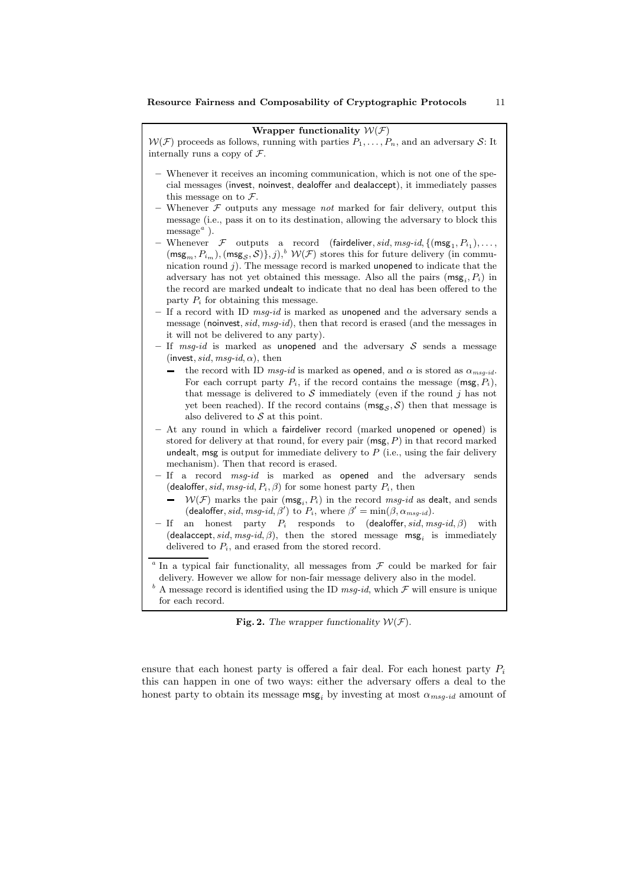#### Wrapper functionality  $W(F)$

 $W(F)$  proceeds as follows, running with parties  $P_1, \ldots, P_n$ , and an adversary S: It internally runs a copy of  $\mathcal{F}$ .

- Whenever it receives an incoming communication, which is not one of the special messages (invest, noinvest, dealoffer and dealaccept), it immediately passes this message on to  $\mathcal{F}$ .
- Whenever  $\mathcal F$  outputs any message not marked for fair delivery, output this message (i.e., pass it on to its destination, allowing the adversary to block this message<sup>*a*</sup>).
- Whenever  $\mathcal F$  outputs a record (fairdeliver, sid, msg-id,  $\{(\mathsf{msg}_1, P_{i_1}), \ldots,$  $(\mathsf{msg}_m, P_{i_m}), (\mathsf{msg}_\mathcal{S}, \mathcal{S})\}, j)$ ,<sup>b</sup>  $\mathcal{W}(\mathcal{F})$  stores this for future delivery (in communication round  $j$ ). The message record is marked unopened to indicate that the adversary has not yet obtained this message. Also all the pairs  $(\textsf{msg}_i, P_i)$  in the record are marked undealt to indicate that no deal has been offered to the party  $P_i$  for obtaining this message.
- If a record with ID  $msg$ -id is marked as unopened and the adversary sends a message (noinvest, sid, msg-id), then that record is erased (and the messages in it will not be delivered to any party).
- If msg-id is marked as unopened and the adversary  $S$  sends a message (invest, sid, msg-id,  $\alpha$ ), then
	- the record with ID msg-id is marked as **opened**, and  $\alpha$  is stored as  $\alpha_{msq-id}$ . For each corrupt party  $P_i$ , if the record contains the message (msg,  $P_i$ ), that message is delivered to  $S$  immediately (even if the round  $j$  has not yet been reached). If the record contains  $(\text{msg}_\mathcal{S}, \mathcal{S})$  then that message is also delivered to  $S$  at this point.
- At any round in which a fairdeliver record (marked unopened or opened) is stored for delivery at that round, for every pair  $(msg, P)$  in that record marked undealt, msg is output for immediate delivery to  $P$  (i.e., using the fair delivery mechanism). Then that record is erased.
- $-$  If a record  $msg-id$  is marked as opened and the adversary sends (dealoffer, sid, msg-id,  $P_i$ ,  $\beta$ ) for some honest party  $P_i$ , then
	- $\mathcal{W}(\mathcal{F})$  marks the pair  $(\mathsf{msg}_i,P_i)$  in the record  $msg\text{-}id$  as dealt, and sends (dealoffer, sid, msg-id,  $\beta'$ ) to  $P_i$ , where  $\beta' = \min(\beta, \alpha_{msg-id})$ .
- If an honest party  $P_i$  responds to (dealoffer, sid, msg-id, β) with (dealaccept, sid, msg-id,  $\beta$ ), then the stored message msg<sub>i</sub> is immediately delivered to  $P_i$ , and erased from the stored record.
- <sup>a</sup> In a typical fair functionality, all messages from  $\mathcal F$  could be marked for fair delivery. However we allow for non-fair message delivery also in the model.
- $\overrightarrow{b}$  A message record is identified using the ID msg-id, which  $\mathcal F$  will ensure is unique for each record.

Fig. 2. The wrapper functionality  $W(F)$ .

ensure that each honest party is offered a fair deal. For each honest party  $P_i$ this can happen in one of two ways: either the adversary offers a deal to the honest party to obtain its message  $\text{msg}_i$  by investing at most  $\alpha_{msg-id}$  amount of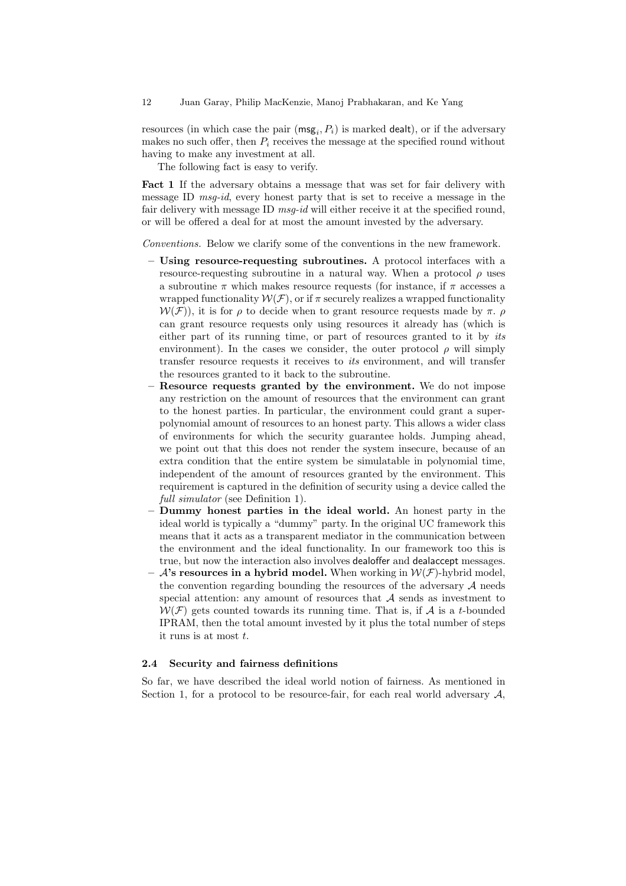resources (in which case the pair  $(\mathsf{msg}_i, P_i)$  is marked dealt), or if the adversary makes no such offer, then  $P_i$  receives the message at the specified round without having to make any investment at all.

The following fact is easy to verify.

Fact 1 If the adversary obtains a message that was set for fair delivery with message ID msg-id, every honest party that is set to receive a message in the fair delivery with message ID  $msq-id$  will either receive it at the specified round, or will be offered a deal for at most the amount invested by the adversary.

Conventions. Below we clarify some of the conventions in the new framework.

- Using resource-requesting subroutines. A protocol interfaces with a resource-requesting subroutine in a natural way. When a protocol  $\rho$  uses a subroutine  $\pi$  which makes resource requests (for instance, if  $\pi$  accesses a wrapped functionality  $W(\mathcal{F})$ , or if  $\pi$  securely realizes a wrapped functionality  $W(F)$ , it is for  $\rho$  to decide when to grant resource requests made by  $\pi$ . can grant resource requests only using resources it already has (which is either part of its running time, or part of resources granted to it by its environment). In the cases we consider, the outer protocol  $\rho$  will simply transfer resource requests it receives to its environment, and will transfer the resources granted to it back to the subroutine.
- Resource requests granted by the environment. We do not impose any restriction on the amount of resources that the environment can grant to the honest parties. In particular, the environment could grant a superpolynomial amount of resources to an honest party. This allows a wider class of environments for which the security guarantee holds. Jumping ahead, we point out that this does not render the system insecure, because of an extra condition that the entire system be simulatable in polynomial time, independent of the amount of resources granted by the environment. This requirement is captured in the definition of security using a device called the full simulator (see Definition 1).
- Dummy honest parties in the ideal world. An honest party in the ideal world is typically a "dummy" party. In the original UC framework this means that it acts as a transparent mediator in the communication between the environment and the ideal functionality. In our framework too this is true, but now the interaction also involves dealoffer and dealaccept messages.
- $\mathcal{A}$ 's resources in a hybrid model. When working in  $\mathcal{W}(F)$ -hybrid model, the convention regarding bounding the resources of the adversary  $A$  needs special attention: any amount of resources that  $A$  sends as investment to  $W(F)$  gets counted towards its running time. That is, if A is a t-bounded IPRAM, then the total amount invested by it plus the total number of steps it runs is at most t.

#### 2.4 Security and fairness definitions

So far, we have described the ideal world notion of fairness. As mentioned in Section 1, for a protocol to be resource-fair, for each real world adversary  $A$ ,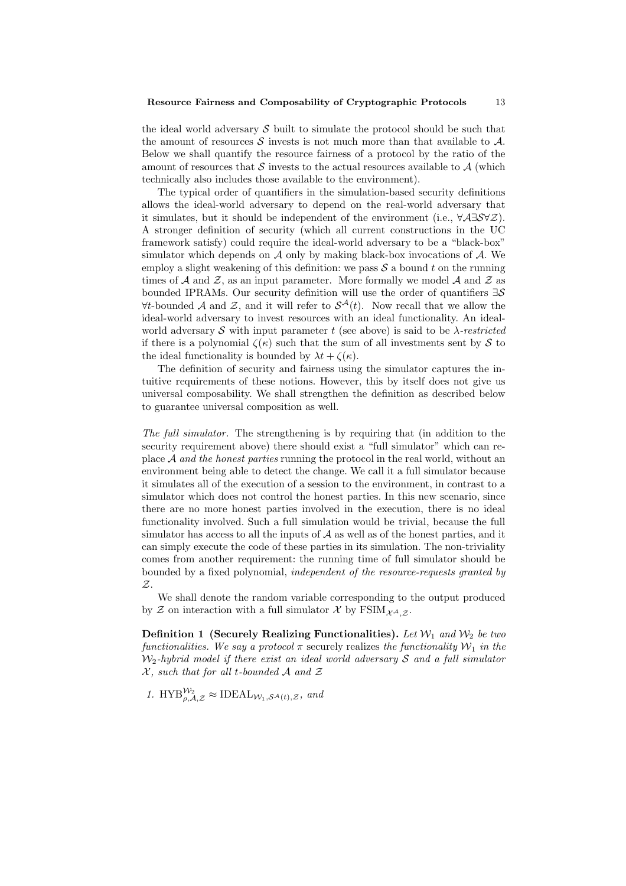the ideal world adversary  $\mathcal S$  built to simulate the protocol should be such that the amount of resources S invests is not much more than that available to  $\mathcal{A}$ . Below we shall quantify the resource fairness of a protocol by the ratio of the amount of resources that  $S$  invests to the actual resources available to  $A$  (which technically also includes those available to the environment).

The typical order of quantifiers in the simulation-based security definitions allows the ideal-world adversary to depend on the real-world adversary that it simulates, but it should be independent of the environment (i.e.,  $\forall A \exists S \forall Z$ ). A stronger definition of security (which all current constructions in the UC framework satisfy) could require the ideal-world adversary to be a "black-box" simulator which depends on  $A$  only by making black-box invocations of  $A$ . We employ a slight weakening of this definition: we pass  $S$  a bound t on the running times of A and Z, as an input parameter. More formally we model A and Z as bounded IPRAMs. Our security definition will use the order of quantifiers ∃S  $\forall t$ -bounded A and Z, and it will refer to  $\mathcal{S}^{\mathcal{A}}(t)$ . Now recall that we allow the ideal-world adversary to invest resources with an ideal functionality. An idealworld adversary S with input parameter t (see above) is said to be  $\lambda$ -restricted if there is a polynomial  $\zeta(\kappa)$  such that the sum of all investments sent by S to the ideal functionality is bounded by  $\lambda t + \zeta(\kappa)$ .

The definition of security and fairness using the simulator captures the intuitive requirements of these notions. However, this by itself does not give us universal composability. We shall strengthen the definition as described below to guarantee universal composition as well.

The full simulator. The strengthening is by requiring that (in addition to the security requirement above) there should exist a "full simulator" which can replace  $A$  and the honest parties running the protocol in the real world, without an environment being able to detect the change. We call it a full simulator because it simulates all of the execution of a session to the environment, in contrast to a simulator which does not control the honest parties. In this new scenario, since there are no more honest parties involved in the execution, there is no ideal functionality involved. Such a full simulation would be trivial, because the full simulator has access to all the inputs of  $A$  as well as of the honest parties, and it can simply execute the code of these parties in its simulation. The non-triviality comes from another requirement: the running time of full simulator should be bounded by a fixed polynomial, independent of the resource-requests granted by Z.

We shall denote the random variable corresponding to the output produced by Z on interaction with a full simulator X by  $\text{FSIM}_{\mathcal{X}^{\mathcal{A}},\mathcal{Z}}$ .

Definition 1 (Securely Realizing Functionalities). Let  $W_1$  and  $W_2$  be two functionalities. We say a protocol  $\pi$  securely realizes the functionality  $\mathcal{W}_1$  in the  $W_2$ -hybrid model if there exist an ideal world adversary  $S$  and a full simulator  $X$ , such that for all t-bounded A and  $Z$ 

1. HYB $_{\rho,A,\mathcal{Z}}^{\mathcal{W}_2} \approx \text{IDEAL}_{\mathcal{W}_1,\mathcal{S}^{\mathcal{A}}(t),\mathcal{Z}}$ , and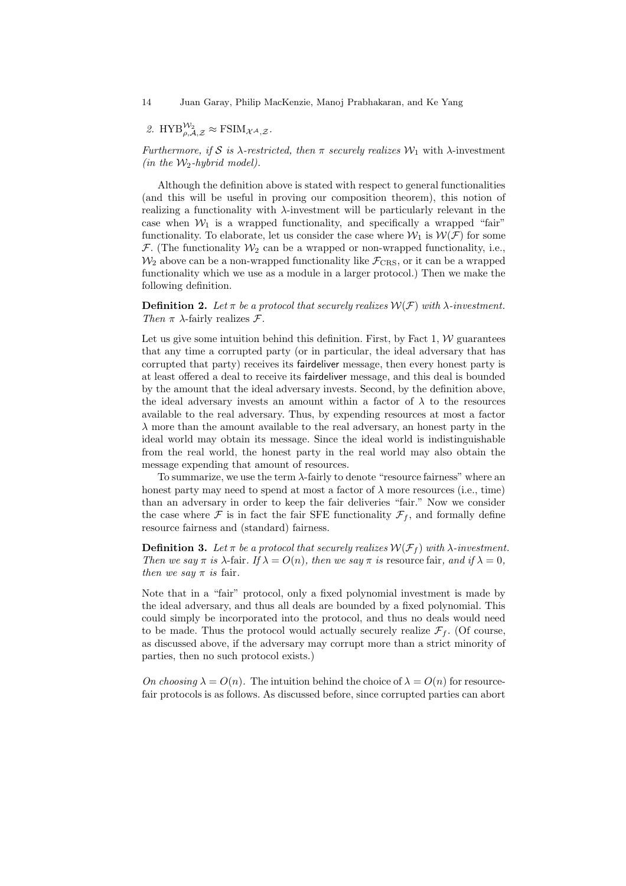14 Juan Garay, Philip MacKenzie, Manoj Prabhakaran, and Ke Yang

2. HYB $_{\rho,\mathcal{A},\mathcal{Z}}^{\mathcal{W}_2} \approx \text{FSIM}_{\mathcal{X}^{\mathcal{A}},\mathcal{Z}}$ .

Furthermore, if S is  $\lambda$ -restricted, then  $\pi$  securely realizes  $\mathcal{W}_1$  with  $\lambda$ -investment (in the  $W_2$ -hybrid model).

Although the definition above is stated with respect to general functionalities (and this will be useful in proving our composition theorem), this notion of realizing a functionality with  $\lambda$ -investment will be particularly relevant in the case when  $W_1$  is a wrapped functionality, and specifically a wrapped "fair" functionality. To elaborate, let us consider the case where  $\mathcal{W}_1$  is  $\mathcal{W}(\mathcal{F})$  for some  $\mathcal{F}$ . (The functionality  $\mathcal{W}_2$  can be a wrapped or non-wrapped functionality, i.e.,  $W_2$  above can be a non-wrapped functionality like  $\mathcal{F}_{CRS}$ , or it can be a wrapped functionality which we use as a module in a larger protocol.) Then we make the following definition.

**Definition 2.** Let  $\pi$  be a protocol that securely realizes  $\mathcal{W}(F)$  with  $\lambda$ -investment. Then  $\pi$   $\lambda$ -fairly realizes  $\mathcal{F}$ .

Let us give some intuition behind this definition. First, by Fact  $1, W$  guarantees that any time a corrupted party (or in particular, the ideal adversary that has corrupted that party) receives its fairdeliver message, then every honest party is at least offered a deal to receive its fairdeliver message, and this deal is bounded by the amount that the ideal adversary invests. Second, by the definition above, the ideal adversary invests an amount within a factor of  $\lambda$  to the resources available to the real adversary. Thus, by expending resources at most a factor  $\lambda$  more than the amount available to the real adversary, an honest party in the ideal world may obtain its message. Since the ideal world is indistinguishable from the real world, the honest party in the real world may also obtain the message expending that amount of resources.

To summarize, we use the term  $\lambda$ -fairly to denote "resource fairness" where an honest party may need to spend at most a factor of  $\lambda$  more resources (i.e., time) than an adversary in order to keep the fair deliveries "fair." Now we consider the case where  $\mathcal F$  is in fact the fair SFE functionality  $\mathcal F_f$ , and formally define resource fairness and (standard) fairness.

**Definition 3.** Let  $\pi$  be a protocol that securely realizes  $W(\mathcal{F}_f)$  with  $\lambda$ -investment. Then we say  $\pi$  is  $\lambda$ -fair. If  $\lambda = O(n)$ , then we say  $\pi$  is resource fair, and if  $\lambda = 0$ , then we say  $\pi$  is fair.

Note that in a "fair" protocol, only a fixed polynomial investment is made by the ideal adversary, and thus all deals are bounded by a fixed polynomial. This could simply be incorporated into the protocol, and thus no deals would need to be made. Thus the protocol would actually securely realize  $\mathcal{F}_f$ . (Of course, as discussed above, if the adversary may corrupt more than a strict minority of parties, then no such protocol exists.)

On choosing  $\lambda = O(n)$ . The intuition behind the choice of  $\lambda = O(n)$  for resourcefair protocols is as follows. As discussed before, since corrupted parties can abort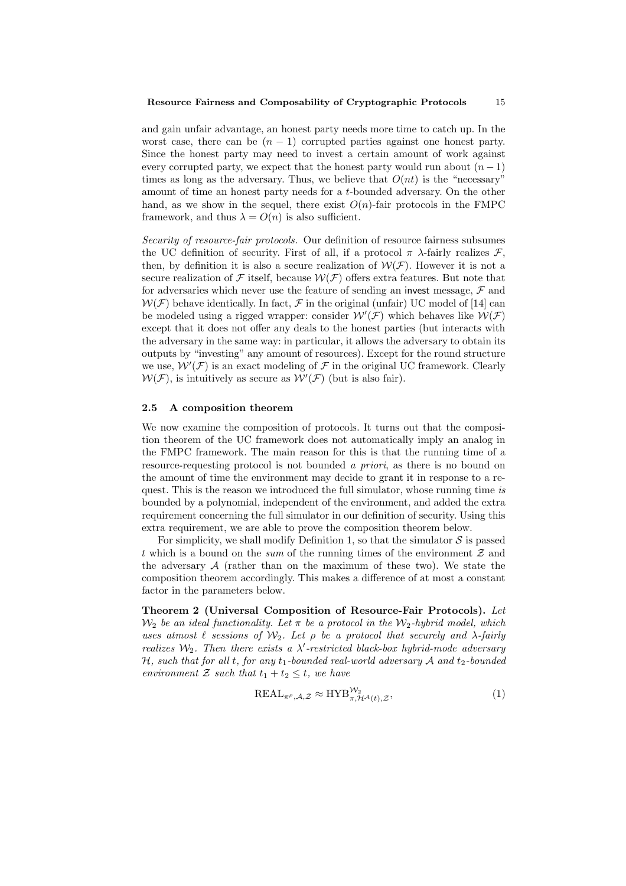and gain unfair advantage, an honest party needs more time to catch up. In the worst case, there can be  $(n - 1)$  corrupted parties against one honest party. Since the honest party may need to invest a certain amount of work against every corrupted party, we expect that the honest party would run about  $(n - 1)$ times as long as the adversary. Thus, we believe that  $O(nt)$  is the "necessary" amount of time an honest party needs for a t-bounded adversary. On the other hand, as we show in the sequel, there exist  $O(n)$ -fair protocols in the FMPC framework, and thus  $\lambda = O(n)$  is also sufficient.

Security of resource-fair protocols. Our definition of resource fairness subsumes the UC definition of security. First of all, if a protocol  $\pi$   $\lambda$ -fairly realizes  $\mathcal{F}$ , then, by definition it is also a secure realization of  $W(F)$ . However it is not a secure realization of  $\mathcal F$  itself, because  $\mathcal W(\mathcal F)$  offers extra features. But note that for adversaries which never use the feature of sending an invest message,  $\mathcal F$  and  $W(F)$  behave identically. In fact, F in the original (unfair) UC model of [14] can be modeled using a rigged wrapper: consider  $W'(\mathcal{F})$  which behaves like  $W(\mathcal{F})$ except that it does not offer any deals to the honest parties (but interacts with the adversary in the same way: in particular, it allows the adversary to obtain its outputs by "investing" any amount of resources). Except for the round structure we use,  $W'(\mathcal{F})$  is an exact modeling of  $\mathcal F$  in the original UC framework. Clearly  $W(\mathcal{F})$ , is intuitively as secure as  $\mathcal{W}'(\mathcal{F})$  (but is also fair).

#### 2.5 A composition theorem

We now examine the composition of protocols. It turns out that the composition theorem of the UC framework does not automatically imply an analog in the FMPC framework. The main reason for this is that the running time of a resource-requesting protocol is not bounded a priori, as there is no bound on the amount of time the environment may decide to grant it in response to a request. This is the reason we introduced the full simulator, whose running time is bounded by a polynomial, independent of the environment, and added the extra requirement concerning the full simulator in our definition of security. Using this extra requirement, we are able to prove the composition theorem below.

For simplicity, we shall modify Definition 1, so that the simulator  $\mathcal S$  is passed t which is a bound on the sum of the running times of the environment  $\mathcal Z$  and the adversary  $A$  (rather than on the maximum of these two). We state the composition theorem accordingly. This makes a difference of at most a constant factor in the parameters below.

Theorem 2 (Universal Composition of Resource-Fair Protocols). Let  $\mathcal{W}_2$  be an ideal functionality. Let  $\pi$  be a protocol in the  $\mathcal{W}_2$ -hybrid model, which uses atmost  $\ell$  sessions of  $\mathcal{W}_2$ . Let  $\rho$  be a protocol that securely and  $\lambda$ -fairly realizes  $W_2$ . Then there exists a  $\lambda'$ -restricted black-box hybrid-mode adversary H, such that for all t, for any  $t_1$ -bounded real-world adversary A and  $t_2$ -bounded environment  $\mathcal Z$  such that  $t_1 + t_2 \leq t$ , we have

$$
REAL_{\pi^{\rho}, \mathcal{A}, \mathcal{Z}} \approx \text{HYB}_{\pi, \mathcal{H}^{\mathcal{A}}(t), \mathcal{Z}}^{\mathcal{W}_2},\tag{1}
$$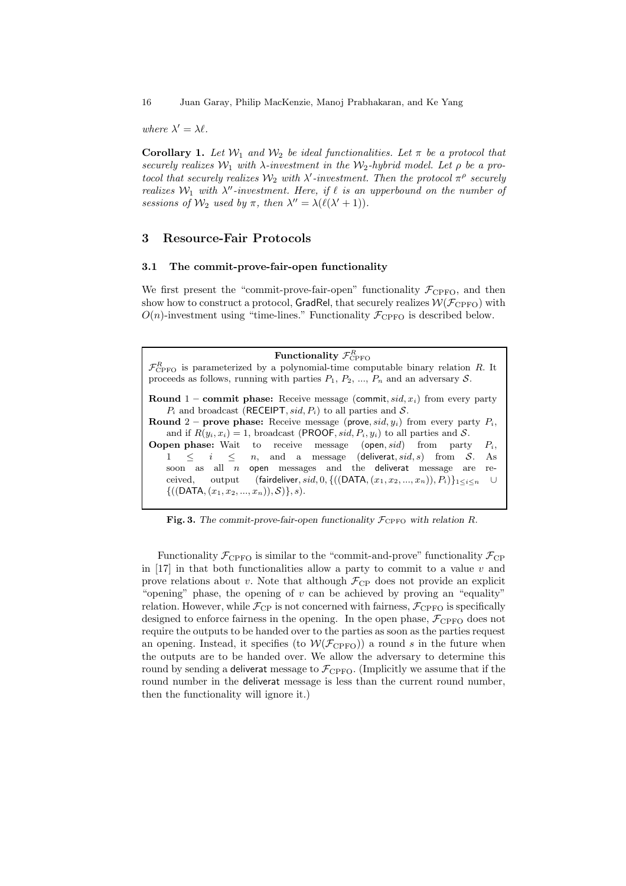16 Juan Garay, Philip MacKenzie, Manoj Prabhakaran, and Ke Yang

where  $\lambda' = \lambda \ell$ .

Corollary 1. Let  $\mathcal{W}_1$  and  $\mathcal{W}_2$  be ideal functionalities. Let  $\pi$  be a protocol that securely realizes  $W_1$  with  $\lambda$ -investment in the  $W_2$ -hybrid model. Let  $\rho$  be a protocol that securely realizes  $W_2$  with  $\lambda'$ -investment. Then the protocol  $\pi^{\rho}$  securely realizes  $W_1$  with  $\lambda''$ -investment. Here, if  $\ell$  is an upperbound on the number of sessions of  $\mathcal{W}_2$  used by  $\pi$ , then  $\lambda'' = \lambda(\ell(\lambda' + 1)).$ 

# 3 Resource-Fair Protocols

#### 3.1 The commit-prove-fair-open functionality

We first present the "commit-prove-fair-open" functionality  $\mathcal{F}_{\text{CPFO}}$ , and then show how to construct a protocol, GradRel, that securely realizes  $W(\mathcal{F}_{\text{CPPFO}})$  with  $O(n)$ -investment using "time-lines." Functionality  $\mathcal{F}_{\text{CPPFO}}$  is described below.

Functionality  $\mathcal{F}^R_{\text{CPFO}}$  $\mathcal{F}_{\text{CPFO}}^R$  is parameterized by a polynomial-time computable binary relation R. It proceeds as follows, running with parties  $P_1$ ,  $P_2$ , ...,  $P_n$  and an adversary  $S$ . **Round** 1 – commit phase: Receive message (commit, sid,  $x_i$ ) from every party  $P_i$  and broadcast (RECEIPT, sid,  $P_i$ ) to all parties and S. **Round** 2 – prove phase: Receive message (prove, sid,  $y_i$ ) from every party  $P_i$ , and if  $R(y_i, x_i) = 1$ , broadcast (PROOF, sid,  $P_i, y_i$ ) to all parties and S. **Oopen phase:** Wait to receive message (open, sid) from party  $P_i$ ,  $1 \leq i \leq n$ , and a message (deliverat, sid, s) from S. As soon as all  $n$  open messages and the deliverat message are received, output (fairdeliver, sid, 0,  ${((DATA, (x_1, x_2, ..., x_n)), P_i)}_{1 \leq i \leq n}$  ${((DATA, (x_1, x_2, ..., x_n)), S)},$ s).

Fig. 3. The commit-prove-fair-open functionality  $\mathcal{F}_{\text{CPFO}}$  with relation R.

Functionality  $\mathcal{F}_{\text{CPP}}$  is similar to the "commit-and-prove" functionality  $\mathcal{F}_{\text{CP}}$ in  $[17]$  in that both functionalities allow a party to commit to a value v and prove relations about v. Note that although  $\mathcal{F}_{CP}$  does not provide an explicit "opening" phase, the opening of  $v$  can be achieved by proving an "equality" relation. However, while  $\mathcal{F}_{\text{CP}}$  is not concerned with fairness,  $\mathcal{F}_{\text{CPFO}}$  is specifically designed to enforce fairness in the opening. In the open phase,  $\mathcal{F}_{\text{CPFO}}$  does not require the outputs to be handed over to the parties as soon as the parties request an opening. Instead, it specifies (to  $W(\mathcal{F}_{\text{CPPO}})$ ) a round s in the future when the outputs are to be handed over. We allow the adversary to determine this round by sending a deliverat message to  $\mathcal{F}_{\text{CPPO}}$ . (Implicitly we assume that if the round number in the deliverat message is less than the current round number, then the functionality will ignore it.)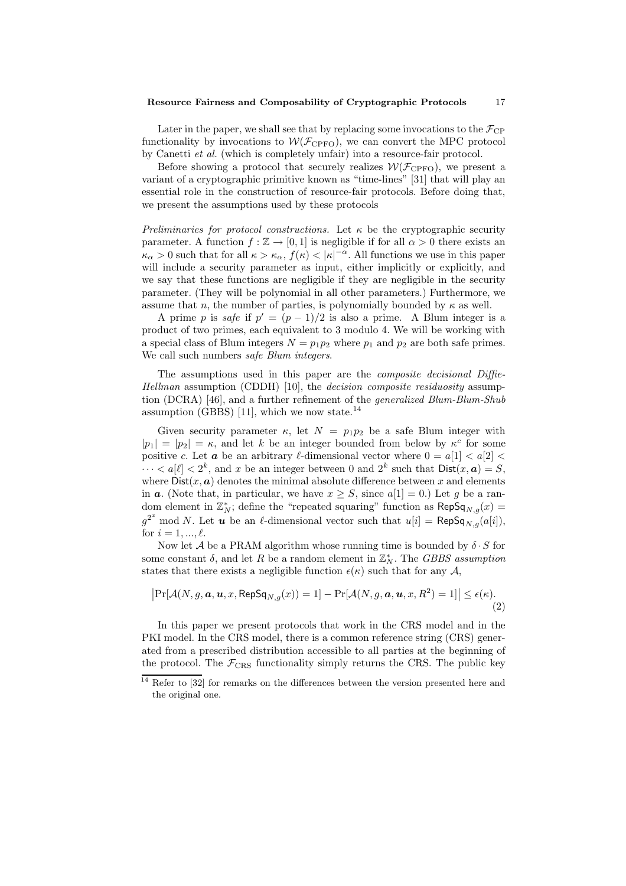Later in the paper, we shall see that by replacing some invocations to the  $\mathcal{F}_{\text{CP}}$ functionality by invocations to  $W(\mathcal{F}_{\text{CPFO}})$ , we can convert the MPC protocol by Canetti et al. (which is completely unfair) into a resource-fair protocol.

Before showing a protocol that securely realizes  $W(\mathcal{F}_{\text{CPPFO}})$ , we present a variant of a cryptographic primitive known as "time-lines" [31] that will play an essential role in the construction of resource-fair protocols. Before doing that, we present the assumptions used by these protocols

Preliminaries for protocol constructions. Let  $\kappa$  be the cryptographic security parameter. A function  $f : \mathbb{Z} \to [0, 1]$  is negligible if for all  $\alpha > 0$  there exists an  $\kappa_{\alpha} > 0$  such that for all  $\kappa > \kappa_{\alpha}, f(\kappa) < |\kappa|^{-\alpha}$ . All functions we use in this paper will include a security parameter as input, either implicitly or explicitly, and we say that these functions are negligible if they are negligible in the security parameter. (They will be polynomial in all other parameters.) Furthermore, we assume that n, the number of parties, is polynomially bounded by  $\kappa$  as well.

A prime p is safe if  $p' = (p-1)/2$  is also a prime. A Blum integer is a product of two primes, each equivalent to 3 modulo 4. We will be working with a special class of Blum integers  $N = p_1p_2$  where  $p_1$  and  $p_2$  are both safe primes. We call such numbers safe Blum integers.

The assumptions used in this paper are the *composite decisional Diffie*-Hellman assumption (CDDH) [10], the *decision composite residuosity* assumption (DCRA) [46], and a further refinement of the generalized Blum-Blum-Shub assumption (GBBS) [11], which we now state. $^{14}$ 

Given security parameter  $\kappa$ , let  $N = p_1p_2$  be a safe Blum integer with  $|p_1| = |p_2| = \kappa$ , and let k be an integer bounded from below by  $\kappa^c$  for some positive c. Let **a** be an arbitrary  $\ell$ -dimensional vector where  $0 = a[1] < a[2]$  $\cdots < a[\ell] < 2^k$ , and x be an integer between 0 and  $2^k$  such that  $Dist(x, a) = S$ , where  $Dist(x, a)$  denotes the minimal absolute difference between x and elements in **a**. (Note that, in particular, we have  $x \geq S$ , since  $a[1] = 0$ .) Let g be a random element in  $\mathbb{Z}_N^*$ ; define the "repeated squaring" function as  $\mathsf{RepSq}_{N,g}(x) =$  $g^{2^x}$  mod N. Let **u** be an  $\ell$ -dimensional vector such that  $u[i] = \text{RepSq}_{N,g}(a[i]),$ for  $i = 1, ..., \ell$ .

Now let A be a PRAM algorithm whose running time is bounded by  $\delta \cdot S$  for some constant  $\delta$ , and let R be a random element in  $\mathbb{Z}_N^*$ . The GBBS assumption states that there exists a negligible function  $\epsilon(\kappa)$  such that for any A,

$$
\left|\Pr[\mathcal{A}(N,g,\boldsymbol{a},\boldsymbol{u},x,\text{RepSq}_{N,g}(x))=1]-\Pr[\mathcal{A}(N,g,\boldsymbol{a},\boldsymbol{u},x,R^2)=1]\right|\leq\epsilon(\kappa).
$$
\n(2)

In this paper we present protocols that work in the CRS model and in the PKI model. In the CRS model, there is a common reference string (CRS) generated from a prescribed distribution accessible to all parties at the beginning of the protocol. The  $\mathcal{F}_{CRS}$  functionality simply returns the CRS. The public key

<sup>&</sup>lt;sup>14</sup> Refer to [32] for remarks on the differences between the version presented here and the original one.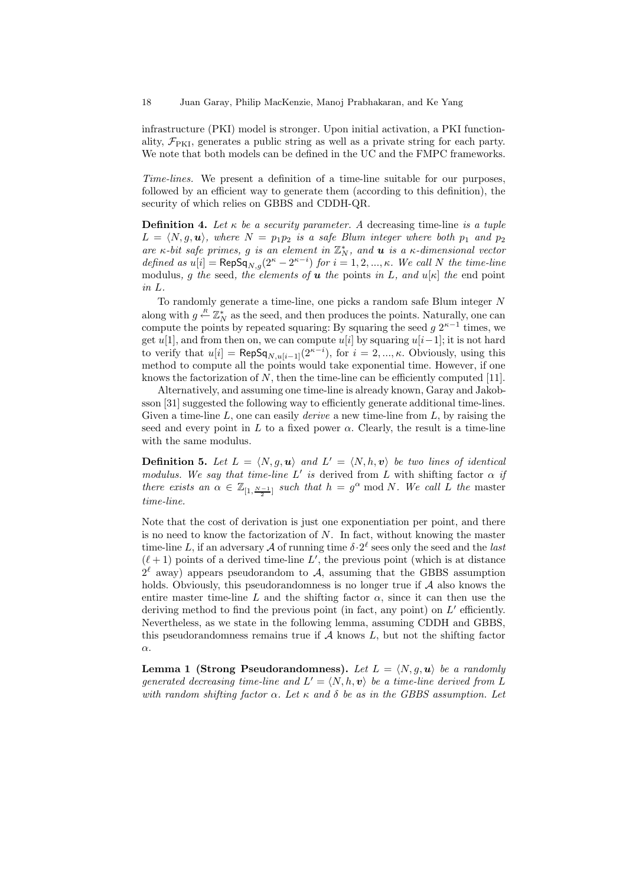infrastructure (PKI) model is stronger. Upon initial activation, a PKI functionality,  $\mathcal{F}_{PKI}$ , generates a public string as well as a private string for each party. We note that both models can be defined in the UC and the FMPC frameworks.

Time-lines. We present a definition of a time-line suitable for our purposes, followed by an efficient way to generate them (according to this definition), the security of which relies on GBBS and CDDH-QR.

**Definition 4.** Let  $\kappa$  be a security parameter. A decreasing time-line is a tuple  $L = \langle N, g, u \rangle$ , where  $N = p_1 p_2$  is a safe Blum integer where both  $p_1$  and  $p_2$ are  $\kappa$ -bit safe primes, g is an element in  $\mathbb{Z}_N^*$ , and  $\boldsymbol{u}$  is a  $\kappa$ -dimensional vector defined as  $u[i] = \text{RepSq}_{N,g}(2^{\kappa} - 2^{\kappa - i})$  for  $i = 1, 2, ..., \kappa$ . We call N the time-line modulus, g the seed, the elements of **u** the points in L, and  $u[\kappa]$  the end point in L.

To randomly generate a time-line, one picks a random safe Blum integer N along with  $g \stackrel{R}{\leftarrow} \mathbb{Z}_N^*$  as the seed, and then produces the points. Naturally, one can compute the points by repeated squaring: By squaring the seed  $g 2^{\kappa-1}$  times, we get  $u[1]$ , and from then on, we can compute  $u[i]$  by squaring  $u[i-1]$ ; it is not hard to verify that  $u[i] = \text{RepSq}_{N,u[i-1]}(2^{k-i})$ , for  $i = 2, ..., \kappa$ . Obviously, using this method to compute all the points would take exponential time. However, if one knows the factorization of N, then the time-line can be efficiently computed [11].

Alternatively, and assuming one time-line is already known, Garay and Jakobsson [31] suggested the following way to efficiently generate additional time-lines. Given a time-line  $L$ , one can easily *derive* a new time-line from  $L$ , by raising the seed and every point in  $L$  to a fixed power  $\alpha$ . Clearly, the result is a time-line with the same modulus.

**Definition 5.** Let  $L = \langle N, g, u \rangle$  and  $L' = \langle N, h, v \rangle$  be two lines of identical modulus. We say that time-line  $L'$  is derived from L with shifting factor  $\alpha$  if there exists an  $\alpha \in \mathbb{Z}_{[1,\frac{N-1}{2}]}$  such that  $h = g^{\alpha} \mod N$ . We call  $\tilde{L}$  the master time-line.

Note that the cost of derivation is just one exponentiation per point, and there is no need to know the factorization of  $N$ . In fact, without knowing the master time-line L, if an adversary A of running time  $\delta \cdot 2^{\ell}$  sees only the seed and the *last*  $(\ell + 1)$  points of a derived time-line L', the previous point (which is at distance  $2^{\ell}$  away) appears pseudorandom to A, assuming that the GBBS assumption holds. Obviously, this pseudorandomness is no longer true if  $A$  also knows the entire master time-line L and the shifting factor  $\alpha$ , since it can then use the deriving method to find the previous point (in fact, any point) on  $L'$  efficiently. Nevertheless, as we state in the following lemma, assuming CDDH and GBBS, this pseudorandomness remains true if  $A$  knows  $L$ , but not the shifting factor α.

**Lemma 1 (Strong Pseudorandomness).** Let  $L = \langle N, q, u \rangle$  be a randomly generated decreasing time-line and  $L' = \langle N, h, v \rangle$  be a time-line derived from  $\tilde{L}$ with random shifting factor  $\alpha$ . Let  $\kappa$  and  $\delta$  be as in the GBBS assumption. Let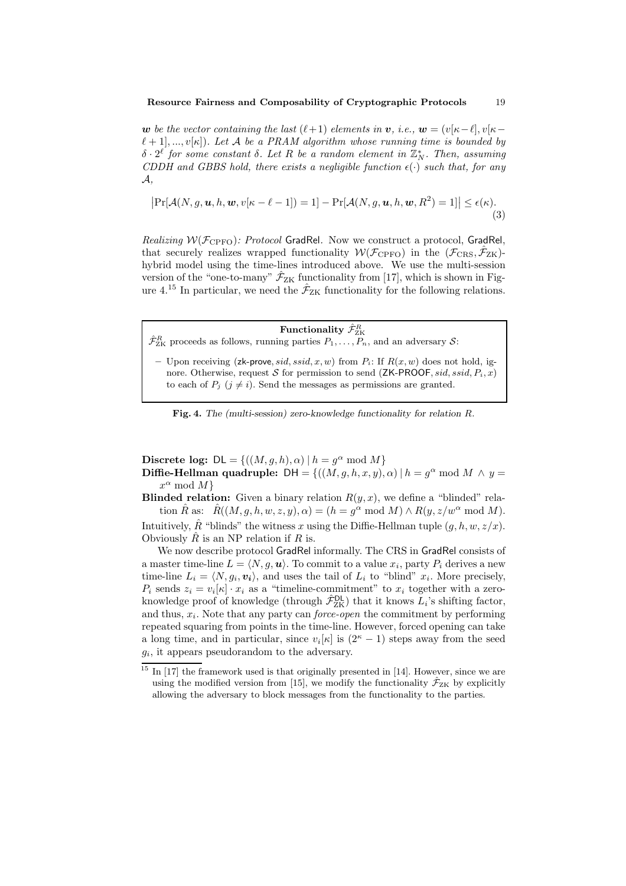w be the vector containing the last  $(\ell+1)$  elements in v, i.e.,  $w = (v[\kappa-\ell], v[\kappa-\ell])$  $\ell + 1, ..., v[\kappa]$ . Let A be a PRAM algorithm whose running time is bounded by  $\delta \cdot 2^{\ell}$  for some constant  $\delta$ . Let R be a random element in  $\mathbb{Z}_N^*$ . Then, assuming CDDH and GBBS hold, there exists a negligible function  $\epsilon(\cdot)$  such that, for any  $\mathcal{A},$ 

$$
\left|\Pr[\mathcal{A}(N,g,\boldsymbol{u},h,\boldsymbol{w},v[\kappa-\ell-1])=1]-\Pr[\mathcal{A}(N,g,\boldsymbol{u},h,\boldsymbol{w},R^2)=1]\right|\leq\epsilon(\kappa).
$$
\n(3)

Realizing  $W(\mathcal{F}_{\text{CPPO}})$ : Protocol GradRel. Now we construct a protocol, GradRel, that securely realizes wrapped functionality  $W(\mathcal{F}_{\text{CPFO}})$  in the  $(\mathcal{F}_{\text{CRS}}, \hat{\mathcal{F}}_{\text{ZK}})$ hybrid model using the time-lines introduced above. We use the multi-session version of the "one-to-many"  $\hat{\mathcal{F}}_{\text{ZK}}$  functionality from [17], which is shown in Figure 4.<sup>15</sup> In particular, we need the  $\hat{\mathcal{F}}_{\text{ZK}}$  functionality for the following relations.

# Functionality  $\hat{\mathcal{F}}_{\text{ZK}}^R$  proceeds as follows, running parties  $P_1, \ldots, P_n$ , and an adversary  $\mathcal{S}$ :

– Upon receiving (zk-prove, sid, ssid, x, w) from  $P_i$ : If  $R(x, w)$  does not hold, ignore. Otherwise, request  $S$  for permission to send (ZK-PROOF, sid, ssid,  $P_i$ , x) to each of  $P_j$  ( $j \neq i$ ). Send the messages as permissions are granted.

Fig. 4. The (multi-session) zero-knowledge functionality for relation R.

Discrete log:  $DL = \{((M, g, h), \alpha) | h = g^{\alpha} \text{ mod } M\}$ 

**Diffie-Hellman quadruple:**  $DH = \{((M, g, h, x, y), \alpha) | h = g^{\alpha} \text{ mod } M \wedge y = g^{\alpha} \}$  $x^{\alpha} \mod M$ 

**Blinded relation:** Given a binary relation  $R(y, x)$ , we define a "blinded" relation  $\hat{R}$  as:  $\hat{R}((M, g, h, w, z, y), \alpha) = (h = g^{\alpha} \mod M) \wedge R(y, z/w^{\alpha} \mod M).$ 

Intuitively,  $\hat{R}$  "blinds" the witness x using the Diffie-Hellman tuple  $(q, h, w, z/x)$ . Obviously  $\hat{R}$  is an NP relation if R is.

We now describe protocol GradRel informally. The CRS in GradRel consists of a master time-line  $L = \langle N, g, \mathbf{u} \rangle$ . To commit to a value  $x_i$ , party  $P_i$  derives a new time-line  $L_i = \langle N, g_i, v_i \rangle$ , and uses the tail of  $L_i$  to "blind"  $x_i$ . More precisely,  $P_i$  sends  $z_i = v_i[\kappa] \cdot x_i$  as a "timeline-commitment" to  $x_i$  together with a zeroknowledge proof of knowledge (through  $\hat{\mathcal{F}}_{\text{ZK}}^{\text{DL}}$ ) that it knows  $L_i$ 's shifting factor, and thus,  $x_i$ . Note that any party can *force-open* the commitment by performing repeated squaring from points in the time-line. However, forced opening can take a long time, and in particular, since  $v_i[k]$  is  $(2<sup>\kappa</sup> - 1)$  steps away from the seed gi , it appears pseudorandom to the adversary.

 $15$  In [17] the framework used is that originally presented in [14]. However, since we are using the modified version from [15], we modify the functionality  $\hat{\mathcal{F}}_{\text{ZK}}$  by explicitly allowing the adversary to block messages from the functionality to the parties.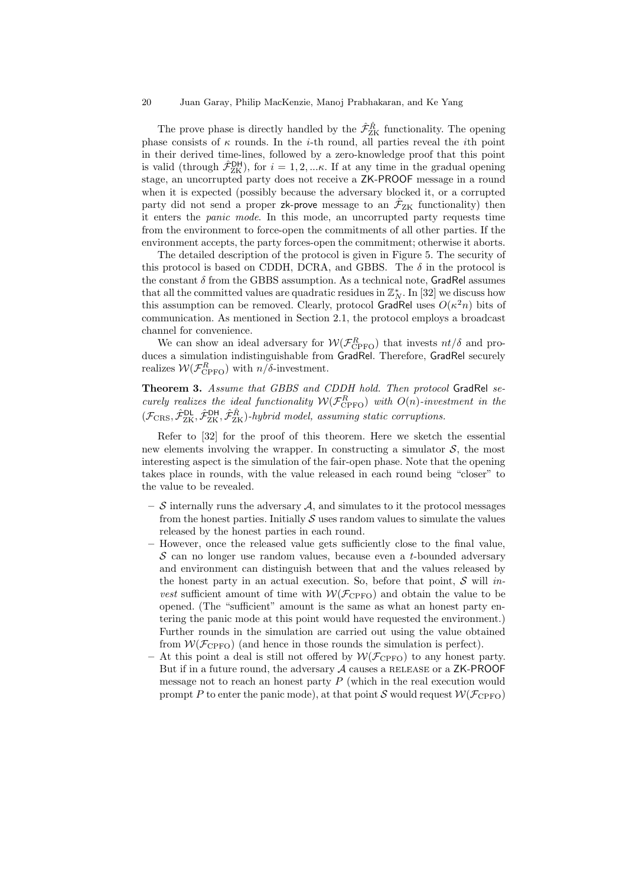The prove phase is directly handled by the  $\hat{\mathcal{F}}_{\text{ZK}}^{\hat{R}}$  functionality. The opening phase consists of  $\kappa$  rounds. In the *i*-th round, all parties reveal the *i*th point in their derived time-lines, followed by a zero-knowledge proof that this point is valid (through  $\hat{\mathcal{F}}_{\text{ZK}}^{\text{DH}}$ ), for  $i = 1, 2, ... \kappa$ . If at any time in the gradual opening stage, an uncorrupted party does not receive a ZK-PROOF message in a round when it is expected (possibly because the adversary blocked it, or a corrupted party did not send a proper  $z$ k-prove message to an  $\hat{\mathcal{F}}_{\text{ZK}}$  functionality) then it enters the panic mode. In this mode, an uncorrupted party requests time from the environment to force-open the commitments of all other parties. If the environment accepts, the party forces-open the commitment; otherwise it aborts.

The detailed description of the protocol is given in Figure 5. The security of this protocol is based on CDDH, DCRA, and GBBS. The  $\delta$  in the protocol is the constant  $\delta$  from the GBBS assumption. As a technical note, GradRel assumes that all the committed values are quadratic residues in  $\mathbb{Z}_N^*$ . In [32] we discuss how this assumption can be removed. Clearly, protocol GradRel uses  $O(\kappa^2 n)$  bits of communication. As mentioned in Section 2.1, the protocol employs a broadcast channel for convenience.

We can show an ideal adversary for  $W(\mathcal{F}_{\mathrm{CPPO}}^R)$  that invests  $nt/\delta$  and produces a simulation indistinguishable from GradRel. Therefore, GradRel securely realizes  $W(\mathcal{F}_{\mathrm{CPFO}}^R)$  with  $n/\delta$ -investment.

Theorem 3. Assume that GBBS and CDDH hold. Then protocol GradRel securely realizes the ideal functionality  $W(\mathcal{F}_{\text{CPPO}}^R)$  with  $O(n)$ -investment in the  $(\mathcal{F}_{CRS}, \hat{\mathcal{F}}_{ZK}^{DL}, \hat{\mathcal{F}}_{ZK}^{DL}, \hat{\mathcal{F}}_{ZK}^{R})$ -hybrid model, assuming static corruptions.

Refer to [32] for the proof of this theorem. Here we sketch the essential new elements involving the wrapper. In constructing a simulator  $S$ , the most interesting aspect is the simulation of the fair-open phase. Note that the opening takes place in rounds, with the value released in each round being "closer" to the value to be revealed.

- $-$  S internally runs the adversary A, and simulates to it the protocol messages from the honest parties. Initially  $\mathcal S$  uses random values to simulate the values released by the honest parties in each round.
- However, once the released value gets sufficiently close to the final value,  $\mathcal S$  can no longer use random values, because even a t-bounded adversary and environment can distinguish between that and the values released by the honest party in an actual execution. So, before that point,  $S$  will invest sufficient amount of time with  $W(\mathcal{F}_{\text{CPPO}})$  and obtain the value to be opened. (The "sufficient" amount is the same as what an honest party entering the panic mode at this point would have requested the environment.) Further rounds in the simulation are carried out using the value obtained from  $W(\mathcal{F}_{\text{CPFO}})$  (and hence in those rounds the simulation is perfect).
- At this point a deal is still not offered by  $W(\mathcal{F}_{\text{CPFO}})$  to any honest party. But if in a future round, the adversary  $A$  causes a RELEASE or a ZK-PROOF message not to reach an honest party  $P$  (which in the real execution would prompt P to enter the panic mode), at that point S would request  $W(\mathcal{F}_{\text{CPFO}})$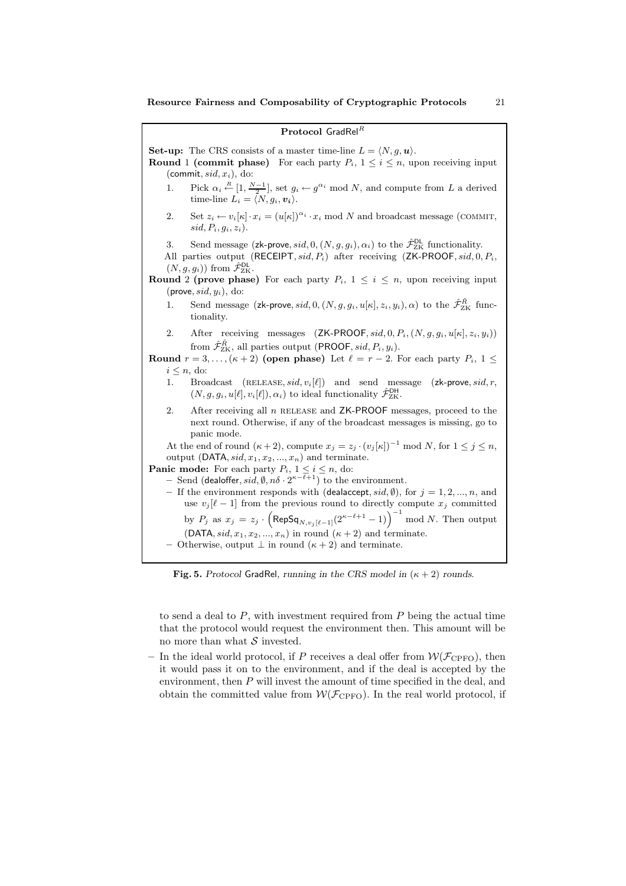## Protocol GradRe $\mathbb{R}^R$

Set-up: The CRS consists of a master time-line  $L = \langle N, g, u \rangle$ .

- **Round 1 (commit phase)** For each party  $P_i$ ,  $1 \leq i \leq n$ , upon receiving input (commit,  $sid, x_i$ ), do:
	- 1. Pick  $\alpha_i \stackrel{R}{\leftarrow} [1, \frac{N-1}{2}]$ , set  $g_i \leftarrow g^{\alpha_i} \mod N$ , and compute from L a derived time-line  $L_i = \langle N, g_i, v_i \rangle$ .
	- 2. Set  $z_i \leftarrow v_i[\kappa] \cdot x_i = (u[\kappa])^{\alpha_i} \cdot x_i \mod N$  and broadcast message (COMMIT,  $sid, P_i, q_i, z_i).$
	- 3. Send message (zk-prove, sid, 0,  $(N, g, g_i)$ ,  $\alpha_i$ ) to the  $\hat{\mathcal{F}}_{\text{ZK}}^{\text{DL}}$  functionality.

All parties output (RECEIPT,  $sid, P_i$ ) after receiving (ZK-PROOF,  $sid, 0, P_i$ ,  $(N, g, g_i)$  from  $\hat{\mathcal{F}}_{\text{ZK}}^{\text{DL}}$ .

- **Round 2 (prove phase)** For each party  $P_i$ ,  $1 \leq i \leq n$ , upon receiving input (prove,  $sid, y_i)$ , do:
	- 1. Send message  $(zk$ -prove,  $sid, 0, (N, g, g_i, u[k], z_i, y_i), \alpha)$  to the  $\hat{\mathcal{F}}_{\text{ZK}}^{\hat{R}}$  functionality.
	- 2. After receiving messages  $(ZK-PROOF, sid, 0, P_i, (N, g, g_i, u[\kappa], z_i, y_i))$ from  $\hat{\mathcal{F}}_{\text{ZK}}^{\hat{R}}$ , all parties output (PROOF,  $sid, P_i, y_i$ ).

Round  $r = 3, \ldots, (\kappa + 2)$  (open phase) Let  $\ell = r - 2$ . For each party  $P_i$ ,  $1 \leq$  $i \leq n$ , do:

- 1. Broadcast (RELEASE, sid,  $v_i[\ell]$ ) and send message (zk-prove, sid, r,  $(N, g, g_i, u[\ell], v_i[\ell]), \alpha_i)$  to ideal functionality  $\hat{\mathcal{F}}^{\textsf{DH}}_{\text{ZK}}$ .
- 2. After receiving all n RELEASE and  $ZK-PROOF$  messages, proceed to the next round. Otherwise, if any of the broadcast messages is missing, go to panic mode.

At the end of round  $(\kappa + 2)$ , compute  $x_j = z_j \cdot (v_j |\kappa|)^{-1} \mod N$ , for  $1 \le j \le n$ , output (DATA,  $sid, x_1, x_2, ..., x_n$ ) and terminate.

**Panic mode:** For each party  $P_i$ ,  $1 \leq i \leq n$ , do:

- $-$  Send (dealoffer, *sid*,  $\emptyset$ , *nδ* · 2<sup>κ−ℓ+1</sup>) to the environment.
- If the environment responds with (dealaccept,  $sid$ ,  $\emptyset$ ), for  $j = 1, 2, ..., n$ , and use  $v_j [\ell - 1]$  from the previous round to directly compute  $x_j$  committed by  $P_j$  as  $x_j = z_j \cdot \left( \mathsf{RepSq}_{N,v_j[\ell-1]}(2^{\kappa-\ell+1}-1) \right)^{-1} \bmod N$ . Then output (DATA,  $sid, x_1, x_2, ..., x_n)$  in round  $(\kappa + 2)$  and terminate. – Otherwise, output ⊥ in round (κ + 2) and terminate.

Fig. 5. Protocol GradRel, running in the CRS model in  $(\kappa + 2)$  rounds.

to send a deal to  $P$ , with investment required from  $P$  being the actual time that the protocol would request the environment then. This amount will be no more than what  $\mathcal S$  invested.

– In the ideal world protocol, if P receives a deal offer from  $W(\mathcal{F}_{\text{CPFO}})$ , then it would pass it on to the environment, and if the deal is accepted by the environment, then P will invest the amount of time specified in the deal, and obtain the committed value from  $W(\mathcal{F}_{\text{CPPO}})$ . In the real world protocol, if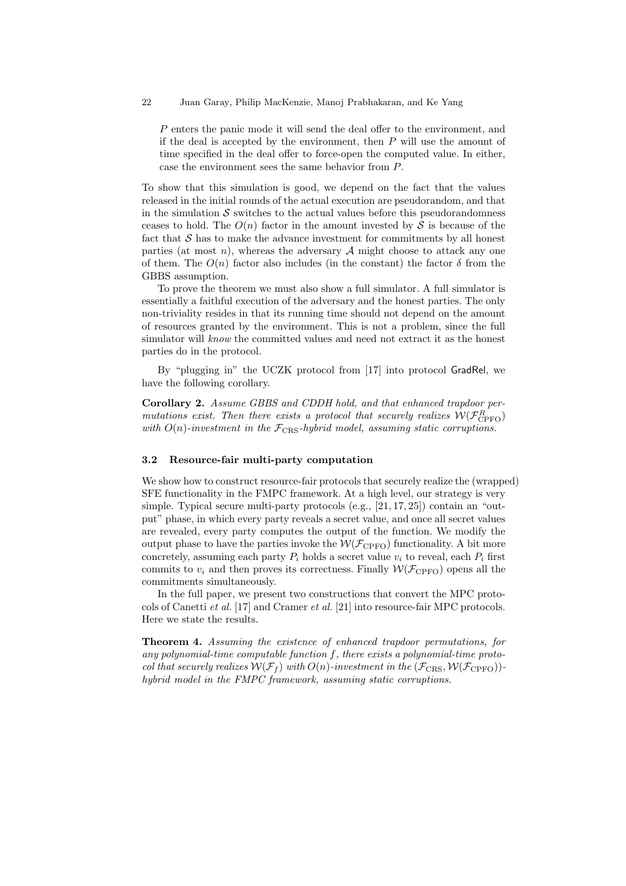P enters the panic mode it will send the deal offer to the environment, and if the deal is accepted by the environment, then  $P$  will use the amount of time specified in the deal offer to force-open the computed value. In either, case the environment sees the same behavior from P.

To show that this simulation is good, we depend on the fact that the values released in the initial rounds of the actual execution are pseudorandom, and that in the simulation  $\mathcal S$  switches to the actual values before this pseudorandomness ceases to hold. The  $O(n)$  factor in the amount invested by S is because of the fact that  $S$  has to make the advance investment for commitments by all honest parties (at most n), whereas the adversary  $A$  might choose to attack any one of them. The  $O(n)$  factor also includes (in the constant) the factor  $\delta$  from the GBBS assumption.

To prove the theorem we must also show a full simulator. A full simulator is essentially a faithful execution of the adversary and the honest parties. The only non-triviality resides in that its running time should not depend on the amount of resources granted by the environment. This is not a problem, since the full simulator will know the committed values and need not extract it as the honest parties do in the protocol.

By "plugging in" the UCZK protocol from [17] into protocol GradRel, we have the following corollary.

Corollary 2. Assume GBBS and CDDH hold, and that enhanced trapdoor permutations exist. Then there exists a protocol that securely realizes  $W(\mathcal{F}^R_{\text{CPPF}})$ with  $O(n)$ -investment in the  $\mathcal{F}_{CRS}$ -hybrid model, assuming static corruptions.

#### 3.2 Resource-fair multi-party computation

We show how to construct resource-fair protocols that securely realize the (wrapped) SFE functionality in the FMPC framework. At a high level, our strategy is very simple. Typical secure multi-party protocols (e.g., [21, 17, 25]) contain an "output" phase, in which every party reveals a secret value, and once all secret values are revealed, every party computes the output of the function. We modify the output phase to have the parties invoke the  $W(\mathcal{F}_{\text{CPPO}})$  functionality. A bit more concretely, assuming each party  $P_i$  holds a secret value  $v_i$  to reveal, each  $P_i$  first commits to  $v_i$  and then proves its correctness. Finally  $W(\mathcal{F}_{\text{CPPO}})$  opens all the commitments simultaneously.

In the full paper, we present two constructions that convert the MPC protocols of Canetti et al. [17] and Cramer et al. [21] into resource-fair MPC protocols. Here we state the results.

Theorem 4. Assuming the existence of enhanced trapdoor permutations, for any polynomial-time computable function f, there exists a polynomial-time protocol that securely realizes  $W(\mathcal{F}_f)$  with  $O(n)$ -investment in the  $(\mathcal{F}_{CRS}, W(\mathcal{F}_{\text{CPFO}}))$ hybrid model in the FMPC framework, assuming static corruptions.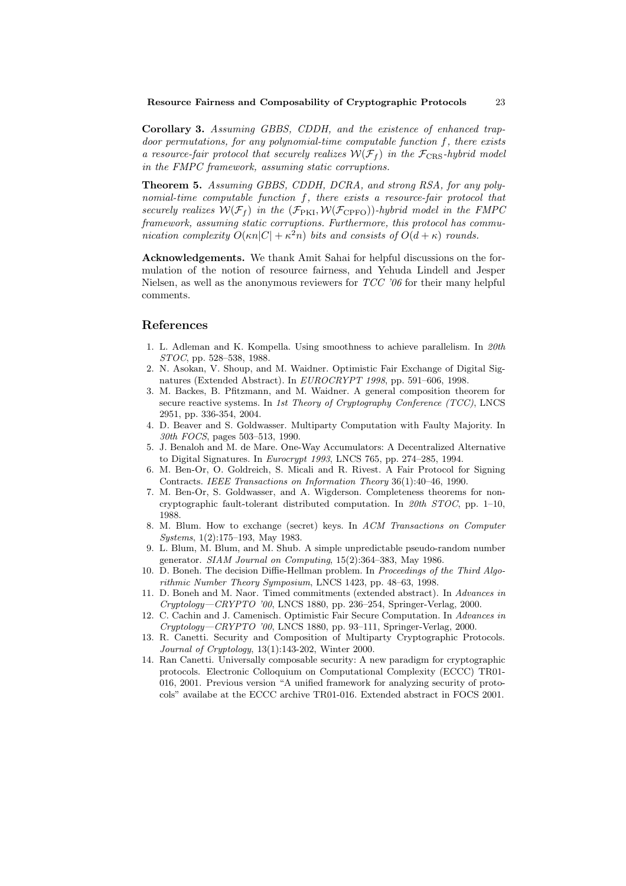Corollary 3. Assuming GBBS, CDDH, and the existence of enhanced trapdoor permutations, for any polynomial-time computable function f, there exists a resource-fair protocol that securely realizes  $W(\mathcal{F}_f)$  in the  $\mathcal{F}_{CRS}$ -hybrid model in the FMPC framework, assuming static corruptions.

Theorem 5. Assuming GBBS, CDDH, DCRA, and strong RSA, for any polynomial-time computable function  $f$ , there exists a resource-fair protocol that securely realizes  $W(\mathcal{F}_f)$  in the  $(\mathcal{F}_{PKI}, W(\mathcal{F}_{\text{CPFO}}))$ -hybrid model in the FMPC framework, assuming static corruptions. Furthermore, this protocol has communication complexity  $O(\kappa n|C| + \kappa^2 n)$  bits and consists of  $O(d + \kappa)$  rounds.

Acknowledgements. We thank Amit Sahai for helpful discussions on the formulation of the notion of resource fairness, and Yehuda Lindell and Jesper Nielsen, as well as the anonymous reviewers for  $TCC$  '06 for their many helpful comments.

# References

- 1. L. Adleman and K. Kompella. Using smoothness to achieve parallelism. In 20th STOC, pp. 528–538, 1988.
- 2. N. Asokan, V. Shoup, and M. Waidner. Optimistic Fair Exchange of Digital Signatures (Extended Abstract). In EUROCRYPT 1998, pp. 591–606, 1998.
- 3. M. Backes, B. Pfitzmann, and M. Waidner. A general composition theorem for secure reactive systems. In 1st Theory of Cryptography Conference (TCC), LNCS 2951, pp. 336-354, 2004.
- 4. D. Beaver and S. Goldwasser. Multiparty Computation with Faulty Majority. In 30th FOCS, pages 503–513, 1990.
- 5. J. Benaloh and M. de Mare. One-Way Accumulators: A Decentralized Alternative to Digital Signatures. In Eurocrypt 1993, LNCS 765, pp. 274–285, 1994.
- 6. M. Ben-Or, O. Goldreich, S. Micali and R. Rivest. A Fair Protocol for Signing Contracts. IEEE Transactions on Information Theory 36(1):40–46, 1990.
- 7. M. Ben-Or, S. Goldwasser, and A. Wigderson. Completeness theorems for noncryptographic fault-tolerant distributed computation. In 20th STOC, pp. 1–10, 1988.
- 8. M. Blum. How to exchange (secret) keys. In ACM Transactions on Computer Systems, 1(2):175–193, May 1983.
- 9. L. Blum, M. Blum, and M. Shub. A simple unpredictable pseudo-random number generator. SIAM Journal on Computing, 15(2):364–383, May 1986.
- 10. D. Boneh. The decision Diffie-Hellman problem. In Proceedings of the Third Algorithmic Number Theory Symposium, LNCS 1423, pp. 48–63, 1998.
- 11. D. Boneh and M. Naor. Timed commitments (extended abstract). In Advances in Cryptology—CRYPTO '00, LNCS 1880, pp. 236–254, Springer-Verlag, 2000.
- 12. C. Cachin and J. Camenisch. Optimistic Fair Secure Computation. In Advances in  $Cryptology - CRYPTO'00$ , LNCS 1880, pp. 93–111, Springer-Verlag, 2000.
- 13. R. Canetti. Security and Composition of Multiparty Cryptographic Protocols. Journal of Cryptology, 13(1):143-202, Winter 2000.
- 14. Ran Canetti. Universally composable security: A new paradigm for cryptographic protocols. Electronic Colloquium on Computational Complexity (ECCC) TR01- 016, 2001. Previous version "A unified framework for analyzing security of protocols" availabe at the ECCC archive TR01-016. Extended abstract in FOCS 2001.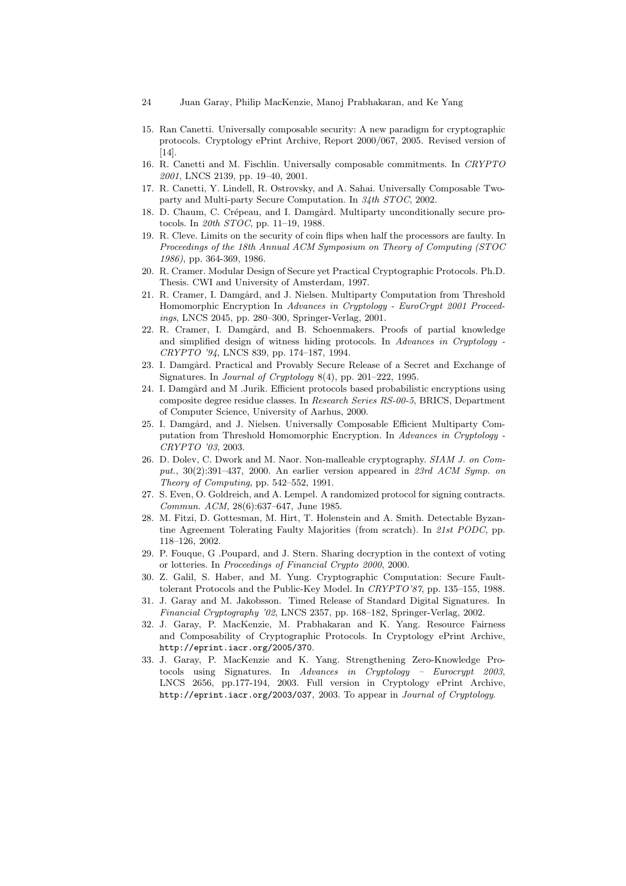- 24 Juan Garay, Philip MacKenzie, Manoj Prabhakaran, and Ke Yang
- 15. Ran Canetti. Universally composable security: A new paradigm for cryptographic protocols. Cryptology ePrint Archive, Report 2000/067, 2005. Revised version of [14].
- 16. R. Canetti and M. Fischlin. Universally composable commitments. In CRYPTO 2001, LNCS 2139, pp. 19–40, 2001.
- 17. R. Canetti, Y. Lindell, R. Ostrovsky, and A. Sahai. Universally Composable Twoparty and Multi-party Secure Computation. In 34th STOC, 2002.
- 18. D. Chaum, C. Crépeau, and I. Damgård. Multiparty unconditionally secure protocols. In 20th STOC, pp. 11–19, 1988.
- 19. R. Cleve. Limits on the security of coin flips when half the processors are faulty. In Proceedings of the 18th Annual ACM Symposium on Theory of Computing (STOC 1986), pp. 364-369, 1986.
- 20. R. Cramer. Modular Design of Secure yet Practical Cryptographic Protocols. Ph.D. Thesis. CWI and University of Amsterdam, 1997.
- 21. R. Cramer, I. Damgård, and J. Nielsen. Multiparty Computation from Threshold Homomorphic Encryption In Advances in Cryptology - EuroCrypt 2001 Proceedings, LNCS 2045, pp. 280–300, Springer-Verlag, 2001.
- 22. R. Cramer, I. Damgård, and B. Schoenmakers. Proofs of partial knowledge and simplified design of witness hiding protocols. In Advances in Cryptology - CRYPTO '94, LNCS 839, pp. 174–187, 1994.
- 23. I. Damgård. Practical and Provably Secure Release of a Secret and Exchange of Signatures. In Journal of Cryptology 8(4), pp. 201–222, 1995.
- 24. I. Damgård and M .Jurik. Efficient protocols based probabilistic encryptions using composite degree residue classes. In Research Series RS-00-5, BRICS, Department of Computer Science, University of Aarhus, 2000.
- 25. I. Damgård, and J. Nielsen. Universally Composable Efficient Multiparty Computation from Threshold Homomorphic Encryption. In Advances in Cryptology - CRYPTO '03, 2003.
- 26. D. Dolev, C. Dwork and M. Naor. Non-malleable cryptography. SIAM J. on Comput., 30(2):391-437, 2000. An earlier version appeared in 23rd ACM Symp. on Theory of Computing, pp. 542–552, 1991.
- 27. S. Even, O. Goldreich, and A. Lempel. A randomized protocol for signing contracts. Commun. ACM, 28(6):637–647, June 1985.
- 28. M. Fitzi, D. Gottesman, M. Hirt, T. Holenstein and A. Smith. Detectable Byzantine Agreement Tolerating Faulty Majorities (from scratch). In 21st PODC, pp. 118–126, 2002.
- 29. P. Fouque, G .Poupard, and J. Stern. Sharing decryption in the context of voting or lotteries. In Proceedings of Financial Crypto 2000, 2000.
- 30. Z. Galil, S. Haber, and M. Yung. Cryptographic Computation: Secure Faulttolerant Protocols and the Public-Key Model. In CRYPTO'87, pp. 135–155, 1988.
- 31. J. Garay and M. Jakobsson. Timed Release of Standard Digital Signatures. In Financial Cryptography '02, LNCS 2357, pp. 168–182, Springer-Verlag, 2002.
- 32. J. Garay, P. MacKenzie, M. Prabhakaran and K. Yang. Resource Fairness and Composability of Cryptographic Protocols. In Cryptology ePrint Archive, http://eprint.iacr.org/2005/370.
- 33. J. Garay, P. MacKenzie and K. Yang. Strengthening Zero-Knowledge Protocols using Signatures. In Advances in Cryptology – Eurocrypt 2003, LNCS 2656, pp.177-194, 2003. Full version in Cryptology ePrint Archive, http://eprint.iacr.org/2003/037, 2003. To appear in Journal of Cryptology.